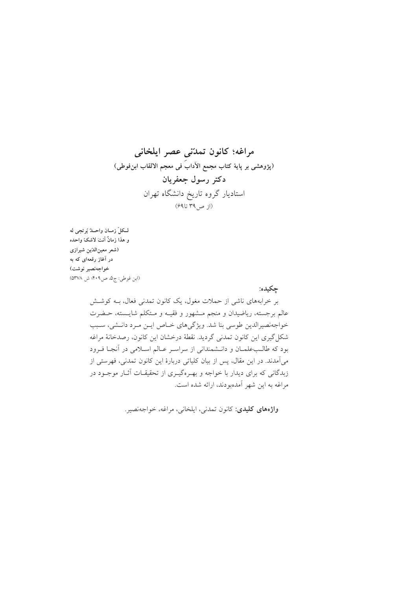## مراغه؛ كانون تمدّنى عصر ايلخاني (پژوهشی بر پایهٔ کتاب مجمع الأدابَ فی معجم الالقاب ابنفوطی) دکتر رسول جعفریان استادیار گروه تاریخ دانشگاه تهران  $(59579, 29)$

لـكلّ زمــان واحــدٌ يُرتجى له و هذا زمانٌ أنتَ لاشکّ واحده (شعر معين الدّين شيرازي در آغاز رقعهای که به خواجەنصير نوشت) (ابن فوطي: ج۵، ص۴۰۹؛ ش ۵۳۷۸)

جكيده:

بر خرابههای ناشی از حملات مغول، یک کانون تمدنی فعال، بـه کوشـش عالم برجسته، ریاضیدان و منجم مــشهور و فقیــه و مــتکلم شایــسته، حــضرت خواجهنصیرالدین طوسی بنا شد. ویژگیهای خاص ایس مرد دانشی، سبب شكل گيري اين كانون تمدني گرديد. نقطهٔ درخشان اين كانون، رصدخانهٔ مراغه بود که طالب علمان و دانـشمندانی از سراسـر عـالم اسـلامی در آنجـا فـرود می آمدند. در این مقال، پس از بیان کلیاتی دربارهٔ این کانون تمدنی، فهرستی از زبدگانی که برای دیدار با خواجه و بهـرهگیـری از تحقیقـات آثـار موجـود در مراغه به این شهر آمدهبودند، ارائه شده است.

واژههای کلیدی: کانون تمدنی، ایلخانی، مراغه، خواجهنصیر.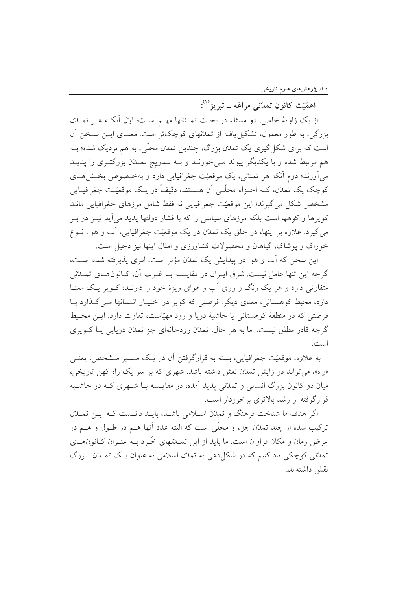اهمّيّت کانون تمدّني مراغه ــ تبريز<sup>(۱)</sup>:

از یک زاویهٔ خاص، دو مسئله در بحث تمـلةنها مهـم اسـت؛ اوّل أنکـه هـر تمـلةن بزرگی، به طور معمول، تشکیل یافته از تمدتهای کوچکتر است. معنــای ایــن ســخن آن است که برای شکل گیری یک تمدّن بزرگ، چندین تمدّن محلّی، به هم نزدیک شده؛ بـه هم مرتبط شده و با یکدیگر پیوند مے خورنـد و بـه تـدریج تمـدّن بزرگتـری را پدیـد می آورند؛ دوم آنکه هر تمدّنی، یک موقعیّت جغرافیایی دارد و بهخـصوص بخـش۵حـای کوچک یک تمدّن، کــه اجــزاء محلّــی اَن هــستند، دقیقــاً در یــک موقعیّــت جغرافیــایی مشخص شکل می گیرند؛ این موقعیّت جغرافیایی نه فقط شامل مرزهای جغرافیایی مانند کو ہر ها و کو هها است بلکه مرزهای سیاسی را که با فشار دولتها پدید می آید نیز در پ مي گيرد. علاوه بر اينها، در خلق يک تمدّن در يک موقعيّت جغرافيايي، آب و هوا، نــوع خوراک و یوشاک، گیاهان و محصولات کشاورزی و امثال اینها نیز دخیل است.

این سخن که آب و هوا در پیدایش یک تمدّن مؤثر است، امری پذیرفته شده است، گرچه این تنها عامل نیست. شرق ایـران در مقایـسه بـا غـرب آن، کـانونهـای تمــدّنی متفاوتی دارد و هر یک رنگ و روی آب و هوای ویژهٔ خود را دارنـد؛ کــویر یــک معنــا دارد، محیط کوهستانی، معنای دیگر. فرصتی که کویر در اختیـار انـسانها مـی گـذارد بـا فرصتي كه در منطقهٔ كوهستاني يا حاشيهٔ دريا و رود مهيّاست، تفاوت دارد. ايــن محـيط گرچه قادر مطلق نیست، اما به هر حال، تمدّن رودخانهای جز تمدّن دریایی یـا کــویری است.

به علاوه، موقعیّت جغرافیایی، بسته به قرارگرفتن آن در یـک مـسیر مـشخص، یعنـی «راه»، می تواند در زایش تمدّن نقش داشته باشد. شهری که بر سر یک راه کهن تاریخی، میان دو کانون بزرگ انسانی و تمدّنی پدید آمده، در مقایسه بـا شــهری کــه در حاشــیه قرارگرفته از رشد بالاتری برخوردار است.

اگر هدف ما شناخت فرهنگ و تمدّن اسلامی باشـد، بایـد دانـست کـه ایـن تمـدّن ترکیب شده از چند تمدّن جزء و محلّی است که البته عدد آنها هــم در طــول و هــم در عرض زمان و مکان فراوان است. ما باید از این تمــدّنهای خُــرد بــه عنــوان کــانون۱مــای تمدّنی کوچکی یاد کنیم که در شکل دهی به تمدّن اسلامی به عنوان یـک تمــدّن بــزرگ نقش داشتهاند.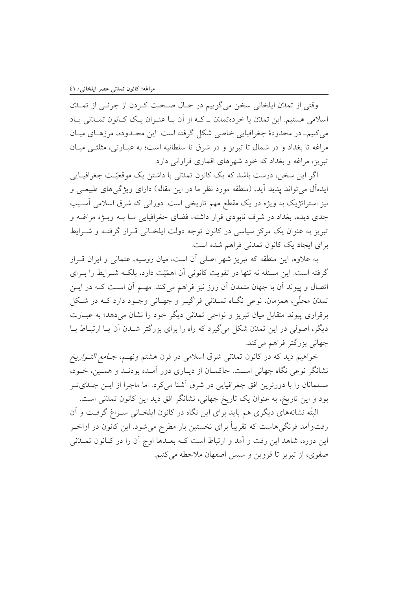وقتي از تمدّن ايلخاني سخن مي گوييم در حـال صـحبت كـردن از جزئـي از تمــدّن اسلامی هستیم. این تمدّن یا خردهتمدّن ـ کـه از آن بـا عنـوان یـک کـانون تمـدّنی یـاد می کنیمـ در محدودهٔ جغرافیایی خاصی شکل گرفته است. این محـدوده، مرزهـای میـان مراغه تا بغداد و در شمال تا تبریز و در شرق تا سلطانیه است؛ به عبـارتی، مثلثـی میـان تبریز، مراغه و بغداد که خود شهرهای اقماری فراوانی دارد.

اگر این سخن، درست باشد که یک کانون تمدّنی با داشتن یک موقعیّت جغرافیـایی ایدهآل می تواند پدید آید، (منطقه مورد نظر ما در این مقاله) دارای ویژگی های طبیعـی و نیز استراتژیک به ویژه در یک مقطع مهم تاریخی است. دورانی که شرق اسلامی آسـیب جدی دیده، بغداد در شرف نابودی قرار داشته، فضای جغرافیایی مـا بــه ویــژه مراغــه و تبریز به عنوان یک مرکز سیاسی در کانون توجه دولت ایلخـانی قـرار گرفتـه و شـرایط برای ایجاد یک کانون تمدنی فراهم شده است.

به علاوه، این منطقه که تبریز شهر اصلی آن است، میان روسیه، عثمانی و ایران قـرار گرفته است. این مسئله نه تنها در تقویت کانونی آن اهمّیّت دارد، بلکـه شـرایط را بـرای اتصال و پیوند آن با جهان متمدن آن روز نیز فراهم میکند. مهـم آن اسـت کـه در ایـن تمدّن محلّی، همزمان، نوعی نگــاه تمــدّنی فراگیــر و جهــانی وجــود دارد کــه در شــکل برقراری پیوند متقابل میان تبریز و نواحی تمدّنی دیگر خود را نشان می دهد؛ به عبــارت دیگر، اصولی در این تمدّن شکل می گیرد که راه را برای بزرگتر شــدن آن پــا ارتبــاط بــا جهانی بزرگتر فراهم میکند.

خواهیم دید که در کانون تمد*ت*نی شرق اسلامی در قرن هشتم ونهـم، *جــامع التــواریخ* نشانگر نوعی نگاه جهانی است. حاکمـان از دیـاری دور آمـده بودنـد و همـین، خــود، مسلمانان را با دورترین افق جغرافیایی در شرق آشنا میکرد. اما ماجرا از ایــن جــدّیتــر بود و این تاریخ، به عنوان یک تاریخ جهانی، نشانگر افق دید این کانون تمدتنی است.

البتّه نشانههای دیگری هم باید برای این نگاه در کانون ایلخـانی سـراغ گرفـت و آن رفتواًمد فرنگی۵هاست که تقریباً برای نخستین بار مطرح میشود. این کانون در اواخـر این دوره، شاهد این رفت و آمد و ارتباط است کـه بعـدها اوج آن را در کـانون تمــدّنی صفوي، از تبريز تا قزوين و سيس اصفهان ملاحظه مي كنيم.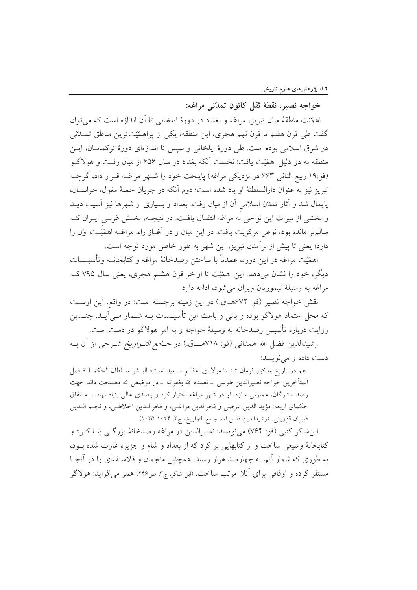## خواجه نصير، نقطهٔ ثقل کانون تمدّنی مراغه:

اهمَّيّت منطقهٔ ميان تبريز، مراغه و بغداد در دورهٔ ايلخاني تا آن اندازه است كه مي توان گفت طی قرن هفتم تا قرن نهم هجری، این منطقه، یکی از پراهمّیّتترین مناطق تمـــلتنی در شرق اسلامی بوده است. طی دورهٔ ایلخانی و سیس تا اندازهای دورهٔ ترکمانـان، ایــن منطقه به دو دلیل اهمّیّت یافت: نخست آنکه بغداد در سال ۶۵۶ از میان رفـت و هولاگــو (فو:۱۹ ربیع الثانی ۶۶۳ در نزدیکی مراغه) پایتخت خود را شــهر مراغــه قــرار داد، گرچــه تبريز نيز به عنوان دارالسلطنة او ياد شده است؛ دوم آنكه در جريان حملة مغول، خراســان، پایمال شد و آثار تمدّن اسلامی آن از میان رفت. بغداد و بسیاری از شهرها نیز آسیب دیــد و بخشی از میراث این نواحی به مراغه انتقـال یافـت. در نتیجـه، بخـش غربـی ایـران کـه سالم تر مانده بود، نوعی مرکزیّت یافت. در این میان و در آغــاز راه، مراغــه اهمّیّــت اوّل را دارد؛ یعنی تا پیش از بر آمدن تبریز، این شهر به طور خاص مورد توجه است.

اهمَّيّت مراغه در اين دوره، عمدتاً با ساختن رصدخانهٔ مراغه و كتابخانــه وتأسيــسات دیگر، خود را نشان میدهد. این اهمّیّت تا اواخر قرن هشتم هجری، یعنی سال ۷۹۵ کـه مراغه به وسيلة تيموريان ويران مي شود، ادامه دارد.

نقش خواجه نصير (فو: ۶۷۲هــق.) در اين زمينه برجسته است؛ در واقع، اين اوسـت که محل اعتماد هولاگو بوده و بانی و باعث این تأسیـسات بــه شــمار مــی]یــد. چنــدین روايت دربارهٔ تأسيس رصدخانه به وسيلهٔ خواجه و به امر هولاگو در دست است.

رشيدالدين فضل الله همداني (فو: ٧١٨هــــق.) در *جــامع التــواريخ* شــرحي از آن بــه دست داده و مي نو پسد:

هم در تاريخ مذكور فرمان شد تا مولاناي اعظـم سـعيد اسـتاد البـشر سـلطان الحكمـا افـضل المتأخرين خواجه نصيرالدين طوسى ــ تغمده الله بغفرانه ــ در موضعى كه مصلحت داند جهت رصد ستارگان، عمارتی سازد. او در شهر مراغه اختیار کرد و رصدی عالی بنیاد نهاد... به اتفاق حكماي اربعه: مؤيد الدين عرضي و فخرالدين مراغـي، و فخرالـدين اخلاطـي، و نجـم الـدين دبيران قزويني. (رشيدالدين فضل الله، جامع التواريخ، ج٢، ١٠٢٩\_١٠٢٥)

ابنشاکر کتبی (فو: ۷۶۴) میiویسد: نصیرالدین در مراغه رصدخانهٔ بزرگـی بنــا کــرد و کتابخانهٔ وسیعی ساخت و از کتابهایی پر کرد که از بغداد و شام و جزیره غارت شده بـود، به طوری که شمار آنها به چهارصد هزار رسید. همچنین منجمان و فلاسـفهای را در آنجـا مستقر کرده و اوقافی برای آنان مرتب ساخت. (ابن شاکر، ج۳، ص۲۴۶) همو می افزاید: هولاگو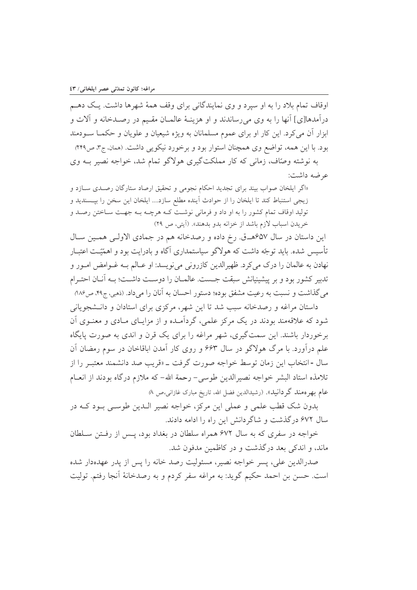اوقاف تمام بلاد را به او سیرد و وی نمایندگانی برای وقف همهٔ شهرها داشت. یک دهـم درآمدها[ی] آنها را به وی می رساندند و او هزینـهٔ عالمـان مقـیم در رصـدخانه و آلات و ابزار آن می کرد. این کار او برای عموم مسلمانان به ویژه شیعیان و علویان و حکمـا ســودمند بود. با این همه، تواضع وی همچنان استوار بود و برخورد نیکویی داشت. (ممان، ج۳، ص۴۹۹ به نوشته وصَّاف، زمانی که کار مملکتگیری هولاگو تمام شد، خواجه نصیر بــه وی عرضه داشت:

«اگر ایلخان صواب بیند برای تجدید احکام نجومی و تحقیق ارصاد ستارگان رصـدی سـازد و زيجي استنباط كند تا ايلخان را از حوادث اًينده مطلع سازد.... ايلخان اين سخن را بيــسنديد و تولید اوقاف تمام کشور را به او داد و فرمانی نوشت کـه هرچـه بـه جهـت سـاختن رصـد و خريدن اسباب لازم باشد از خزانه بدو بدهند». (آيتي، ص ٢٩)

این داستان در سال ۶۵۷هـق. رخ داده و رصدخانه هم در جمادی الاولـی همـین سـال تأسسی شده. باید توجّه داشت که هولاگو سیاستمداری آگاه و بادرایت بود و اهمّیّت اعتبار نهادن به عالمان را درک می کرد. ظهیرالدین کازرونی می نویسد: او عــالم بــه غــوامض امــور و تدبیر کشور بود و بر پیشینیانش سبقت جـست. عالمـان را دوسـت داشـت؛ بـه آنـان احتـرام می گذاشت و نسبت به رعیت مشفق بوده؛ دستور احسان به آنان را میداد. (ذهبی، ج۴۹ ص۸۸۶

داستان مراغه و رصدخانه سبب شد تا این شهر، مرکزی برای استادان و دانـشجویانی شود که علاقهمند بودند در یک مرکز علمی، گردآمـده و از مزایـای مـادی و معنـوی آن برخوردار باشند. این سمتگیری، شهر مراغه را برای یک قرن و اندی به صورت پایگاه علم درآورد. با مرگ هولاگو در سال ۶۶۳ و روی کار آمدن اباقاخان در سوم رمضان آن سال -انتخاب این زمان توسط خواجه صورت گرفت ـ «قریب صد دانشمند معتبـر را از تلامذه استاد البشر خواجه نصيرالدين طوسي- رحمة الله- كه ملازم درگاه بودند از انعـام عام بھر ہمند گر دانید». (رشیدالدین فضل الله، تاریخ مبارک غازانی*،ص ۸*)

بدون شک قطب علمی و عملی این مرکز، خواجه نصیر الــدین طوســی بــود کــه در سال ۶۷۲ درگذشت و شاگردانش این راه را ادامه دادند.

خواجه در سفري كه به سال ۶۷۲ همراه سلطان در بغداد بود، پس از رفتن سلطان ماند، و اندکی بعد درگذشت و در کاظمین مدفون شد.

صدرالدين على، يسر خواجه نصير، مسئوليت رصد خانه را يس از يدر عهدهدار شده است. حسن بن احمد حکیم گوید: به مراغه سفر کردم و به رصدخانهٔ آنجا رفتم. تولیت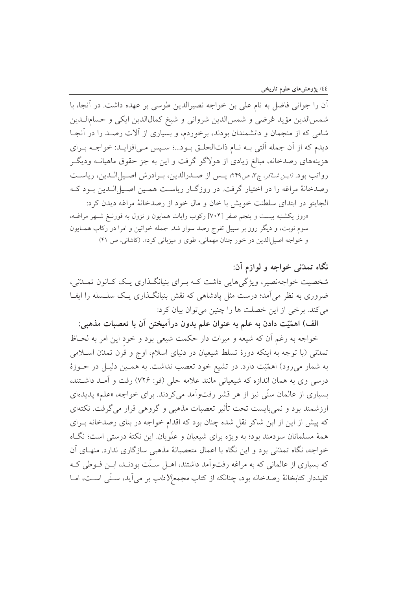أن را جوانی فاضل به نام علی بن خواجه نصیرالدین طوسی بر عهده داشت. در آنجا، با شمسالدين مؤيد عُرضي و شمسالدين شرواني و شيخ كمالالدين ايكي و حسامالـدين شامی که از منجمان و دانشمندان بودند، برخوردم، و بسیاری از آلات رصـد را در آنجـا ديدم كه از آن جمله آلتي بـه نـام ذاتالحلـق بـود...؛ سـپس مـىافزايـد: خواجـه بـراي هزینههای رصدخانه، مبالغ زیادی از هولاگو گرفت و این به جز حقوق ماهیانــه ودیگــر رواتب بود. (ابن شاكر، ج٣، ص٣٩٩) يس از صدرالدين، بـرادرش اصـيل الـدين، رياسـت رصدخانهٔ مراغه را در اختیار گرفت. در روزگــار ریاسـت همـین اصــیلالـدین بــود کــه الجايتو در ابتداى سلطنت خويش با خان و مال خود از رصدخانهٔ مراغه ديدن كرد: «روز یکشنبه بیست و پنجم صفر [۷۰۴] رکوب رایات همایون و نزول به قورنـغ شـهر مراغـه،

سوم نوبت، و دیگر روز بر سبیل تفرج رصد سوار شد. جمله خواتین و امرا در رکاب همـایون و خواجه اصيل الدين در خور چنان مهماني، طوى و ميزباني كرد». (كاشاني، ص ۴۱)

نگاه تمدّنی خواجه و لوازم آن: شخصیت خواجهنصیر، ویژگیهایی داشت کـه بـرای بنیانگـذاری یـک کـانون تمــدّنی، ضروری به نظر می آمد؛ درست مثل یادشاهی که نقش بنیانگـذاری یـک سلــسله را ایفـا می کند. برخی از این خصلت ها را چنین می توان بیان کرد:

الف) اهمّيّت دادن به علم به عنوان علم بدون درآميختن آن با تعصبات مذهبي: خواجه به رغم آن كه شيعه و ميراث دار حكمت شيعي بود و خود اين امر به لحـاظ تمدَّنی (با توجه به اینکه دورهٔ تسلط شیعیان در دنیای اسلام، اوج و قُرِن تمدَّن اسـلامی به شمار میرود) اهمّیّت دارد. در تشیع خود تعصب نداشت. به همـین دلیـل در حـوزهٔ درسی وی به همان اندازه که شیعیانی مانند علامه حلی (فو: ۷۲۶) رفت و آمـد داشـتند، بسیاری از عالمان سنّی نیز از هر قشر رفتواّمد می کردند. برای خواجه، «علم» پدیدهای ارزشمند بود و نمی بایست تحت تأثیر تعصبات مذهبی و گروهی قرار می گرفت. نکتهای که پیش از این از ابن شاکر نقل شده چنان بود که اقدام خواجه در بنای رصدخانه بـرای همهٔ مسلمانان سودمند بود؛ به ویژه برای شیعیان و علَویان این نکتهٔ درستی است؛ نگـاه خواجه، نگاه تمدّنی بود و این نگاه با اعمال متعصبانهٔ مذهبی سازگاری ندارد. منهـای آن که بسیاری از عالمانی که به مراغه رفتواّمد داشتند، اهــل سـنّت بودنــد، ابــن فــوطی کــه كليددار كتابخانهٔ رصدخانه بود، چنانكه از كتاب *مجمع/لاداب* بر مي آيد، سـنّى اسـت، امــا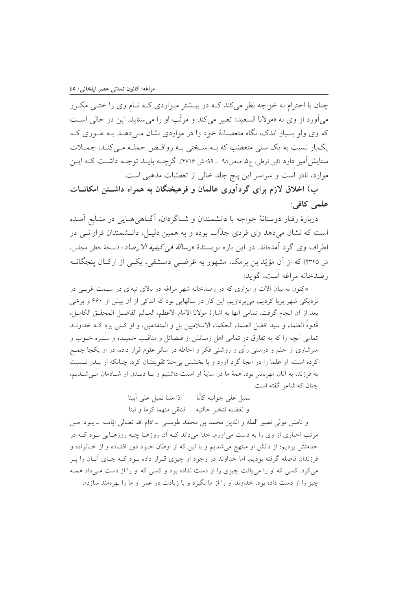چنان با احترام به خواجه نظر میکند کـه در بیــشتر مــواردی کــه نــام وی را حتــی مکــرر می آورد از وی به «مولانا السعید» تعبیر می کند و مرتّب او را می ستاید. این در حالی است که وی ولو بسیار اندک، نگاه متعصبانهٔ خود را در مواردی نشان مـیٖدهــد بــه طــوری کــه یکبار نسبت به یک سنی متعصّب که بـه سـختی بـه روافـض حملـه مـیکنـد، جمـلات ستايش آميز دارد (ابن فوطي، ج۵، صص٨٩ \_ ٩٩؛ ش ٢٧١۶). گرچــه بايــد توجــه داشــت كــه ايــن موارد، نادر است و سراسر این پنج جلد خالی از تعصّبات مذهبی است.

ب) اخلاق لازم برای گردآوری عالمان و فرهیختگان به همراه داشــتن امکانــات علمي كافي:

دربارهٔ رفتار دوستانهٔ خواجه با دانشمندان و شــاگردان، آگــاهیِ هــایی در منــابع آمــده است که نشان میدهد وی فردی جذاب بوده و به همین دلیـل، دانـشمندان فراوانـی در اطراف وي گرد آمدهاند. در اين باره نويسندهٔ *«رسالة في كيفية الارصاد*» (نسخهٔ خطي مجلس، ش ۴۳۴۵) که از آن مؤیّد بن برمک، مشهور به عُرضـی دمـشقی، یکـی از ارکـان پنجگانــه رصدخانه مراغه است، گوید:

«اکنون به بیان آلات و ابزاری که در رصدخانه شهر مراغه در بالای تپهای در سـمت غربـی در نزدیکی شهر برپا کردیم، میپردازیم. این کار در سالهایی بود که اندکی از آن پیش از ۶۶۰ و برخی بعد از أن انجام گرفت. تمامي أنها به اشارهٔ مولانا الامام الاعظم، العـالم الفاضـل المحقـق الكامـل، قُدوةَ العلماء و سيد افضل العلماء الحكماء الاسلاميين بل و المتقدمين، و او كسى بود كــه خداونــد تمامی آنچه را که به تفارق در تمامی اهل زمـانش از فـضائل و مناقـب حميـده و سـيره خــوب و سرشاری از حلم و درستی رأی و روشنی فکر و احاطه در سائر علوم قرار داده، در او یکجا جمـع کرده است. او علما را در آنجا گرد آورد و با بخشش بیحدّ تقویتشان کرد، چنانکه از پــدر نــسبت به فرزند، به آنان مهربانتر بود. همهٔ ما در سایهٔ او امنیت داشتیم و بـا دیـدن او شـادمان مـی شـدیم، چنان که شاعر گفته است:

> نميل على جوانبه كأنَّا اذا ملنا نميل على أبينا و نغضبه لنخبر حالتيه فنلقى منهما كرما ولينا

و نامش مولى نصير الملة و الدين محمد بن محمد طوسـى - ادام الله تعـالى ايّامــه - بــود. مــن مرتب اخباری از وی را به دست می آورم. خدا میداند کــه آن روزهــا چــه روزهــایی بــود کــه در خدمتش بودیم؛ از دانش او مبتهج میشدیم و با این که از اوطان خــود دور افتــاده و از خــانواده و فرزندان فاصله گرفته بودیم، اما خداوند در وجود او چیزی قـرار داده بــود کــه جــای آنــان را پــر می کرد. کسی که او را می یافت چیزی را از دست نداده بود و کسی که او را از دست می داد همـه چیز را از دست داده بود. خداوند او را از ما نگیرد و با زیادت در عمر او ما را بهرهمند سازد».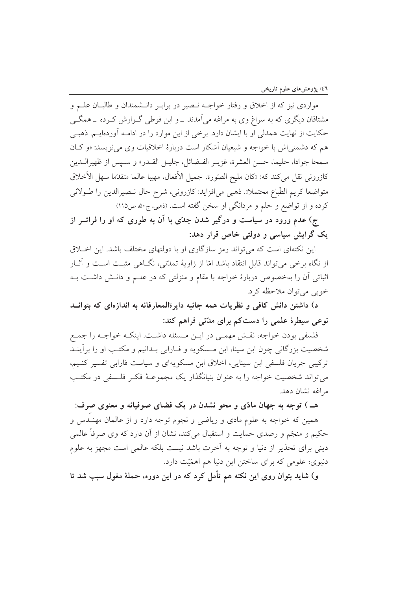مواردی نیز که از اخلاق و رفتار خواجـه نـصیر در برابـر دانــشمندان و طالبــان علــم و مشتاقان دیگری که به سراغ وی به مراغه می آمدند ـ و ابن فوطی گـزارش کـرده ـ همگـی حکایت از نهایت همدلی او با ایشان دارد. برخی از این موارد را در ادامـه آوردهایـم. ذهبـی هم که دشمنی اش با خواجه و شیعیان آشکار است دربارهٔ اخلاقیات وی می نویسد: «و کـان سمحا جوادا، حليما، حسن العشرة، غزيـر الفـضائل، جليـل القــدر» و ســيس از ظهيرالــدين كازروني نقل ميكند كه: «كان مليح الصّورة، جميل الأفعال، مهيبا عالما متقدّما سهل الأخلاق متواضعا كريم الطّباع محتملا». ذهبي مي|فزايد: كازروني، شرح حال نـصيرالدين را طـولاني کرده و از تواضع و حلم و مردانگی او سخن گفته است. (ذهبی، ج۵۰ ص۱۱۵)

ج) عدم ورود در سیاست و درگیر شدن جدّی با آن به طوری که او را فراتــر از یک گرایش سیاسی و دولتی خاص قرار دهد:

این نکتهای است که می تواند رمز سازگاری او با دولتهای مختلف باشد. این اخبلاق از نگاه برخی می تواند قابل انتقاد باشد امّا از زاویهٔ تمدّنی، نگــاهی مثبــت اســت و آثــار اثباتی آن را بهخصوص دربارهٔ خواجه با مقام و منزلتی که در علـم و دانـش داشـت بـه خوبي مي توان ملاحظه كرد.

د) داشتن دانش کافی و نظریات همه جانبه دایرةالمعارفانه به اندازهای که بتوانــد نوعی سیطرهٔ علمی را دست کم برای مدّتی فراهم کند:

فلسفی بودن خواجه، نقش مهمبی در ایـن مـسئله داشـت. اینکـه خواجـه را جمـع شخصیت بزرگانی چون ابن سینا، ابن مـسکویه و فـارابی بـدانیم و مکتـب او را برآینـد ترکیبی جریان فلسفی ابن سینایی، اخلاق ابن مسکویهای و سیاست فارابی تفسیر کنیم، می تواند شخصیت خواجه را به عنوان بنیانگذار یک مجموعـهٔ فکـر فلـسفی در مکتـب مراغه نشان دهد.

هـ ) توجه به جهان مادّي و محو نشدن در يک فضاي صوفيانه و معنوي صرف: همین که خواجه به علوم مادی و ریاضی و نجوم توجه دارد و از عالمان مهنــدس و حکیم و منجّم و رصدی حمایت و استقبال میکند، نشان از آن دارد که وی صرفاً عالمی دینی برای تحذیر از دنیا و توجه به آخرت باشد نیست بلکه عالمی است مجهز به علوم دنیوی؛ علومی که برای ساختن این دنیا هم اهمّیّت دارد.

و) شاید بتوان روی این نکته هم تأمل کرد که در این دوره، حملهٔ مغول سبب شد تا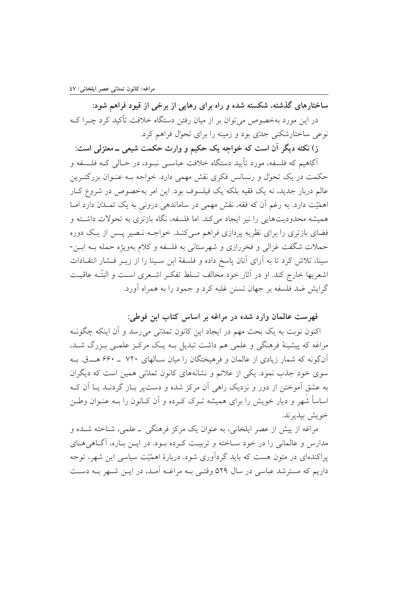ساختارهای گذشته، شکسته شده و راه برای رهایی از برخی از قیود فراهم شود: در این مورد بهخصوص می توان بر از میان رفتن دستگاه خلافت تأکید کرد چــرا کــه نوعی ساختارشکنی جدّی بود و زمینه را برای تحوّل فراهم کرد.

ز) نکته دیگر آن است که خواجه یک حکیم و وارث حکمت شیعی ــ معتزلی است: آگاهیم که فلسفه، مورد تأیید دستگاه خلافت عباسـبی نبـود، در حـالبی کــه فلــسفه و حکمت در یک تحوّل و رنسانس فکری نقش مهمی دارد. خواجه بــه عنــوان بزرگتــرین عالم دربار جدید، نه یک فقیه بلکه یک فیلسوف بود. این امر بهخصوص در شروع کـار اهمّیّت دارد. به رغم اَن که فقه، نقش مهمی در ساماندهی درونی به یک تمــدّن دارد امــا همیشه محدودیتهایی را نیز ایجاد می کند. اما فلسفه، نگاه بازتری به تحولات داشته و فضای بازتری را برای نظریه پردازی فراهم مـیکنـد. خواجـه نـصیر پـس از پـک دوره حملات شگفت غزالی و فخررازی و شهرستانی به فلسفه و کلام بهویژه حمله بـه ابــن-سینا، تلاش کرد تا به آرای آنان پاسخ داده و فلسفهٔ ابن سـینا را از زیــر فــشار انتقــادات اشعريها خارج كند. او در آثار خود مخالف تسلط تفكـر اشـعرى اسـت و البتّــه عاقبـت گرایش ضد فلسفه بر جهان تسنن غلبه کرد و جمود را به همراه آورد.

فهرست عالمان وارد شده در مراغه بر اساس کتاب ابن فوطي:

اکنون نوبت به یک بحث مهم در ایجاد این کانون تمدّنی میرسد و آن اینکه چگونـه مراغه که پیشینهٔ فرهنگی و علمی هم داشت تبدیل بـه یـک مرکـز علمـی بـزرگ شـد، آنگونه که شمار زیادی از عالمان و فرهیختگان را میان سـالهای ۷۲۰ \_ ۶۶۰ هــــق. بــه سوی خود جذب نمود. یکی از علائم و نشانههای کانون تمدّنی همین است که دیگران به عشق آموختن از دور و نزدیک راهی آن مرکز شده و دست پر بـاز گردنــد یــا آن کــه اساساً شهر و دیار خویش را برای همیشه تـرک کـرده و آن کـانون را بـه عنـوان وطـن خويش بيذيرند.

مراغه از پیش از عصر ایلخانی، به عنوان یک مرکز فرهنگی ــ علمی، شناخته شــده و مدارس و عالمانی را در خود ساخته و تربیت کرده بود. در ایـن بـاره، آگـاهی هـای یراکندهای در متون هست که باید گردآوری شود. دربارهٔ اهمّیّت سیاسی این شهر، توجه داریم که مسترشد عباسی در سال ۵۲۹ وقتـی بـه مراغـه آمـد، در ایـن شـهر بـه دسـت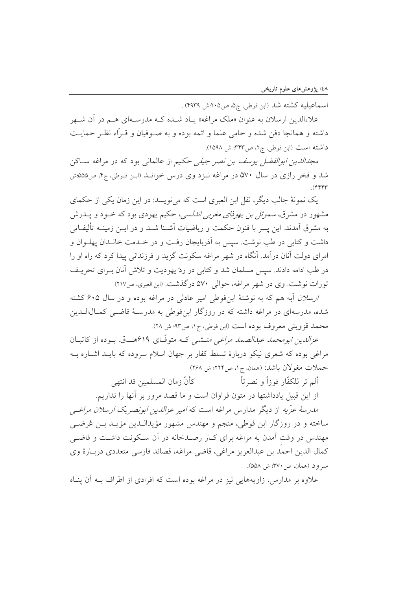اسماعیلیه کشته شد (ابن فوطی، ج۵، ص۲۰۵:ش ۴۹۳۹) .

علاءالدین ارسلان به عنوان «ملک مراغه» پـاد شـده کـه مدرسـهای هــم در آن شــهر داشته و همانجا دفن شده و حامی علما و ائمه بوده و به صـوفیان و قـرّاء نظـر حمایـت داشته است (ابن فوطي، ج٢، ص٣۴٣؛ ش ١٥٩٨).

*مجدالدین ابوالفضل یوسف بن نصر جیلی حکیم* از عالمانی بود که در مراغه ســاکن شد و فخر رازی در سال ۵۷۰ در مراغه نـزد وی درس خوانـد (ابـن فـوطي، ج۴، ص۵۵۵:ش  $($ ۴۴۴۳

یک نمونهٔ جالب دیگر، نقل این العبری است که می نویسد: در این زمان یکی از حکمای مشهور در مشرق، *سموئل بن یهوذای مغربی اندلسی*، حکیم یهودی بود که خــود و پــدرش به مشرق آمدند. این پسر با فنون حکمت و ریاضیات آشــنا شــد و در ایــن زمینــه تألیفــاتی داشت و کتابی در طب نوشت. سپس به آذربایجان رفت و در خــدمت خانــدان پهلــوان و امرای دولت آنان درآمد. آنگاه در شهر مراغه سکونت گزید و فرزندانی پیدا کرد که راه او را در طب ادامه دادند. سیس مسلمان شد و کتابی در ردّ یهودیت و تلاش آنان بـرای تحریـف تورات نوشت. وي در شهر مراغه، حوالي ۵۷۰ در گذشت. (اين العبري، ص۲۱۷)

ارسلان آبه هم که به نوشتهٔ ابن فوطی امیر عادلی در مراغه بوده و در سال ۶۰۵ کشته شده، مدرسهای در مراغه داشته که در روزگار ابنفوطی به مدرسـهٔ قاضـبی کمـالالــدین محمد قزويني معروف بوده است (ابن فوطي، ج١، ص٩٣؛ ش ٢٨).

*عزالدین ابومحمد عبدالصمد مراغبی منــشبی* کــه متوفّــای ۶۱۹هــــق. بــوده از کاتبــان مراغی بوده که شعری نیکو دربارهٔ تسلط کفار بر جهان اسلام سروده که بایـد اشـاره بـه حملات مغولان باشد: (همان ج١، ص٢٢٢؛ ش ٢۶٨)

ألم تر للكفّار فوزاً و نصرتاً كأنّ زمان المسلمين قد انتهى از این قبیل یادداشتها در متون فراوان است و ما قصد مرور بر آنها را نداریم. مدرسهٔ عزّیه از دیگر مدارس مراغه است که *امیر عزالدین ابونصریک ارسلان مراغب*ی

ساخته و در روزگار ابن فوطي، منجم و مهندس مشهور مؤيدالــدين مؤيــد بــن غرضــي مهندس در وقت آمدن به مراغه برای کبار رصیدخانه در آن سبکونت داشت و قاضبی كمال الدين احمد بن عبدالعزيز مراغي، قاضي مراغه، قصائد فارسي متعددي دربــارهٔ وي سرود (همان، ص۱۳۷۰؛ ش ۵۵۸).

علاوه بر مدارس، زاویههایی نیز در مراغه بوده است که افرادی از اطراف بــه آن پنــاه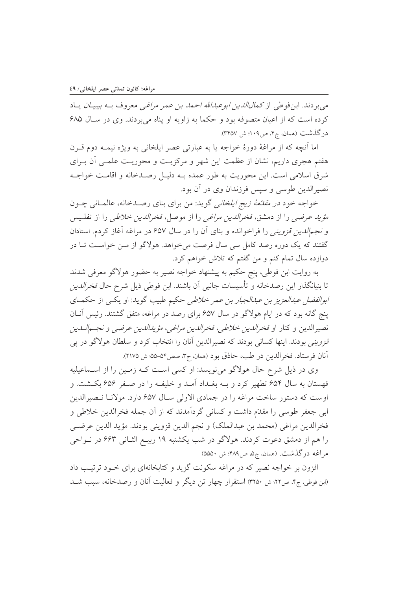مي بر دند. ابن فوطي از كم*ال الدين ابوعبدالله احمد بن ع*مر مرا*غي* معروف بـه *بيبيـان* يــاد کرده است که از اعیان متصوفه بود و حکما به زاویه او پناه میبردند. وی در سـال ۶۸۵ درگذشت (همان، ج۴، ص۱۰۹؛ ش ۳۴۵۷).

اما آنچه که از مراغهٔ دورهٔ خواجه یا به عبارتی عصر ایلخانی به ویژه نیمـه دوم قــرن هفتم هجری داریم، نشان از عظمت این شهر و مرکزیـت و محوریـت علمـی آن بـرای شرق اسلامی است. این محوریت به طور عمده بـه دلیـل رصـدخانه و اقامـت خواجـه نصيرالدين طوسي و سيس فرزندان وي در آن بود.

خواجه خود *در مقائمهٔ زیج ایلخانی* گوید: من برای بنای رصـدخانه، عالمـانی چـون *مؤيد عرضي* را از دمشق، *فخرالدين مراغبي* را از موصل، *فخرالدين خلاطي* را از تفلـيس و *نجم الدين قزويني ر*ا فراخوانده و بناي آن را در سال ۶۵۷ در مراغه آغاز كردم. استادان گفتند که یک دوره رصد کامل سی سال فرصت می خواهد. هولاگو از مـن خواسـت تـا در دوازده سال تمام کنم و من گفتم که تلاش خواهم کرد.

به روايت ابن فوطي، پنج حكيم به پيشنهاد خواجه نصير به حضور هولاگو معرفي شدند تا بنیانگذار این رصدخانه و تأسیسات جانبی آن باشند. ابن فوطی ذیل شرح حال *فخرالدین ابوالفضل عبدالعزیز بن عبدالجبار بن عمر خلاطی* حکیم طبیب گوید: او یک<sub>می</sub> از حکمـای پنج گانه بود که در ایام هولاگو در سال ۶۵۷ برای رصد در مراغه، متفق گشتند. رئیس آنـان نصيرالدين و كنار او فخرالدين خلاطي، فخرالدين مراغبي، مؤيدالدين عرضبي و نجــمالـدين *قزوینی بودند. اینها کسانی بودند که نصیرالدین آنان را انتخاب کرد و سلطان هولاگو در پی* أنان فرستاد. فخرالدين در طب، حاذق بود (همان، ج٣، صص٥٢-٥۵: ش ٢١٧٥).

وی در ذیل شرح حال هولاگو می نویسد: او کسی است کـه زمـین را از اسـماعیلیه قهستان به سال ۶۵۴ تطهیر کرد و بــه بغــداد آمــد و خلیفــه را در صــفر ۶۵۶ بکــشت. و اوست که دستور ساخت مراغه را در جمادی الاولی سـال ۶۵۷ دارد. مولانـا نـصيرالدين ابی جعفر طوسی را مقدّم داشت و کسانی گردآمدند که از آن جمله فخرالدین خلاطی و فخرالدين مراغي (محمد بن عبدالملک) و نجم الدين قزويني بودند. مؤيد الدين عرضـي را هم از دمشق دعوت کردند. هولاگو در شب یکشنبه ۱۹ ربیـع الثـانی ۶۶۳ در نــواحی مراغه درگذشت. (همان، ج۵، ص۴۸۹؛ ش ۵۵۵۰)

افزون بر خواجه نصیر که در مراغه سکونت گزید و کتابخانهای برای خـود ترتیـب داد (ابن فوطی، ج۴، ص۲۲: ش ۳۲۵۰) استقرار چهار تن دیگر و فعالیت آنان و رصدخانه، سبب شـد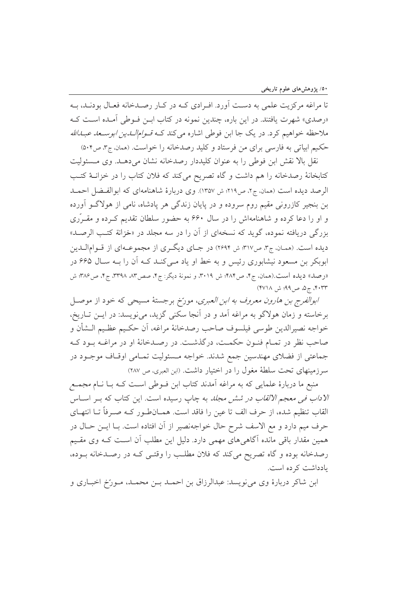۵۰/ پژوهشهای علوم تاریخی

تا مراغه مرکزیت علمی به دست آورد. اف ادی کـه در کـار رصـدخانه فعـال بودنـد، بـه «رصدي» شهرت يافتند. در اين باره، چندين نمونه در كتاب ابـن فـوطى آمـده اسـت كـه ملاحظه خواهیم کرد. در یک جا ابن فوطی اشاره می کند کـه *قـوامالـدین ابوسـعد عبـدالله* حکیم ابیاتی به فارسی برای من فرستاد و کلید رصدخانه را خواست. (همان، ج۳، ص۵۰۴)

نقل بالا نقش ابن فوطي را به عنوان كليددار رصدخانه نشان مي دهـد. وي مـسئوليت كتابخانهٔ رصدخانه را هم داشت و گاه تصريح مي كند كه فلان كتاب را در خزانـهٔ كتـب الرصد ديده است (همان، ج٢، ص٢١٩: ش ١٣٥٧). وي دربارة شاهنامهاي كه ابوالفيضل احميد بن بنجیر کازرونی مقیم روم سروده و در پایان زندگی هر پادشاه، نامی از هولاگــو آورده و او را دعا کرده و شاهنامهاش را در سال ۶۶۰ به حضور سلطان تقدیم کـرده و مقـرّری بزرگی دریافته نموده، گوید که نسخهای از آن را در سه مجلد در «خزانة کتب الرصـد» دیده است. (همان، ج۳، ص۳۱۷؛ ش ۲۶۹۴) در جـای دیگـری از مجموعـهای از قـوامالـدین ابوبکر بن مسعود نیشابوری رئیس و به خط او یاد مےکند کـه اَن را بـه سـال ۶۶۵ در «رصد» دیده است.(همان، ج۴، ص۴۸۴؛ ش ۳۰۱۹، و نمونهٔ دیگر: ج۴، صص۸۳، ۳۳۹۸، ج۴، ص۴۸۶: ش ۴۰۳۳، ج۵، ص۹۹؛ ش ۴۷۱۸)

ا*بوالفرج بن هارون معروف به ابن العبرى*، مورّخ برجستهٔ مسیحی كه خود از موصـل برخاسته و زمان هولاگو به مراغه آمد و در آنجا سکنی گزید، می نویسد: در ایــن تــاریخ، خواجه نصيرالدين طوسي فيلسوف صاحب رصدخانهٔ مراغه، أن حكـيم عظـيم الــشأن و صاحب نظر در تمـام فنـون حكمـت، درگذشـت. در رصـدخانهٔ او در مراغـه بـود كـه جماعتی از فضلای مهندسین جمع شدند. خواجه مـسئولیت تمـامی اوقـاف موجـود در سرزمینهای تحت سلطهٔ مغول را در اختیار داشت. (ابن العبری، ص ۲۸۷)

منبع ما دربارهٔ علمایی که به مراغه آمدند کتاب ابن فـوطی اسـت کـه بـا نــام مجمــع /لاد*اب في معجم الالقاب در شش مجلد* به چاپ رسيده است. اين كتاب كه بــر اســاس القاب تنظيم شده، از حرف الف تا عين را فاقد است. همــانطـور كــه صـرفاً تــا انتهــاي حرف ميم دارد و مع الاسف شرح حال خواجهنصير از آن افتاده است. بـا ايــن حــال در همین مقدار باقی مانده آگاهی های مهمی دارد. دلیل این مطلب آن است کـه وی مقـیم رصدخانه بوده و گاه تصریح میکند که فلان مطلب را وقتـی کـه در رصـدخانه بـوده، بادداشت کرده است.

ابن شاکر دربارهٔ وی می نویسد: عبدالرزاق بن احمـد بـن محمـد، مـورّخ اخبـاری و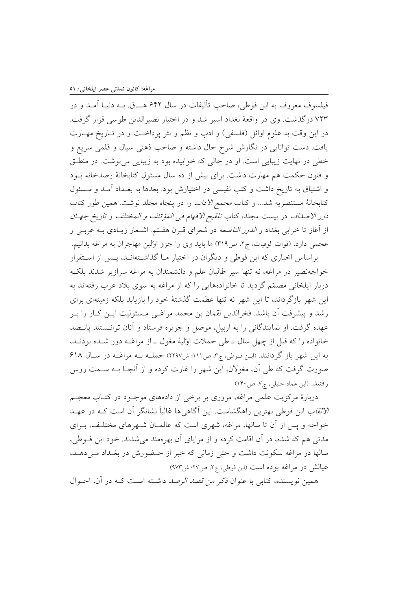فیلسوف معروف به ابن فوطی، صاحب تألیفات در سال ۶۴۲ هــق. بــه دنیـا آمــد و در ۷۲۳ درگذشت. وی در واقعهٔ بغداد اسیر شد و در اختیار نصیرالدین طوسی قرار گرفت. در اين وقت به علوم اوائل (فلسفي) و ادب و نظم و نثر پرداخت و در تـاريخ مهـارت یافت. دست توانایی در نگارش شرح حال داشته و صاحب ذهنی سیال و قلمی سریع و خطي در نهايت زيبايي است. او در حالي كه خوابيده بود به زيبايي مي نوشت. در منطـق و فنون حکمت هم مهارت داشت. برای بیش از ده سال مسئول کتابخانهٔ رصدخانه بود و اشتیاق به تاریخ داشت و کتب نفیسی در اختیارش بود. بعدها به بغـداد آمـد و مـسئول كتابخانهٔ مستنصریه شد... و كتاب *مجمع الاداب* را در پنجاه مجلد نوشت. همین طور كتاب درر الاصلاف در بيست مجلد، كتاب *تلقيح الافهام في المؤتلف و المختلف و تاريخ جهـان* از آغاز تا خرابی بغداد و *الدرر الناصعه* در شعرای قـرن هفـتم. اشـعار زيـادی بــه عربــی و عجمي دارد. (فوات الوفيات، ج٢، ص٣١٩) ما بايد وي را جزو اولين مهاجران به مراغه بدانيم.

براساس اخباری که ابن فوطی و دیگران در اختیار مـا گذاشـتهانـد، پـس از اسـتقرار خواجهنصیر در مراغه، نه تنها سیر طالبان علم و دانشمندان به مراغه سرازیر شدند بلک دربار ایلخانی مصمّم گردید تا خانوادههایی را که از مراغه به سوی بلاد عرب رفتهاند به این شهر بازگرداند، تا این شهر نه تنها عظمت گذشتهٔ خود را بازیابد بلکه زمینهای برای رشد و پیشرفت اَن باشد. فخرالدین لقمان بن محمد مراغـی مـسئولیت ایــن کــار را بــر عهده گرفت. او نمایندگانی را به اربیل، موصل و جزیره فرستاد و آنان توانستند پانـصد خانواده را كه قبل از چهل سال ــ طي حملات اوليهٔ مغول ــ از مراغــه دور شــده بودنــد، به این شهر باز گردانند. (ابن فوطی، ج۳، ص۱۱۱؛ ش۲۲۹۷) حملـه بـه مراغـه در سـال ۶۱۸ صورت گرفت که طی آن، مغولان، این شهر را غارت کرده و از آنجـا بــه ســمت روس رفتند. (ابن عماد حنبلي، ج٧، ص١۴٠)

دربارهٔ مرکزیت علمی مراغه، مروری بر برخی از دادههای موجـود در کتـاب معجـم *الالقاب* ابن فوطی بهترین راهگشاست. این آگاهی ها غالباً نشانگر آن است کــه در عهــد خواجه و پس از آن تا سالها، مراغه، شهری است که عالمیان شبهرهای مختلف، بیرای مدتی هم که شده، در آن اقامت کرده و از مزایای آن بهرهمند می شدند. خود ابن فـوطی، سالها در مراغه سکونت داشت و حتی زمانی که خبر از حـضورش در بغـداد مـی دهـد، عيالش در مراغه بوده است (ابن فوطي، ج۲، ص۶۷: ش۹۷۳).

همین نویسنده، کتابی با عنوان *ذکر من قصد الرصد* داشـته اسـت کـه در آن، احـوال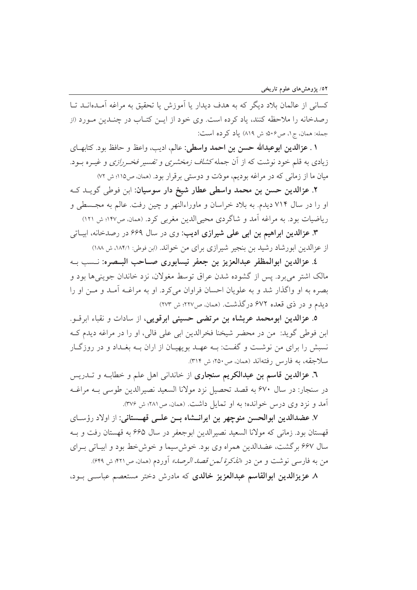كساني از عالمان بلاد ديگر كه به هدف ديدار يا آموزش يا تحقيق به مراغه آمـدهانــد تــا رصدخانه را ملاحظه کنند، یاد کرده است. وی خود از ایــن کتــاب در چنــدین مــورد (از جمله: همان، ج١، ص٥٠۶: ش ٨١٩) ياد كرده است:

**۱ . عزالدین ابوعبدالله حسن بن احمد واسطی:** عالم، ادیب، واعظ و حافظ بود. کتابهــای زیادی به قلم خود نوشت که از آن جمله *کشاف زمخشری و تفسیر فخـررازی و غیـر*ه بـود. میان ما از زمانی که در مراغه بودیم، مودّت و دوستی برقرار بود. (همان، ص۱۱۵؛ ش ۷۲)

٢. عزالدين حسن بن محمد واسطى عطار شيخ دار سوسيان: ابن فوطى گويــد كــه او را در سال ۷۱۴ دیدم. به بلاد خراسان و ماوراءالنهر و چین رفت. عالم به مجـسطی و ریاضیات بود. به مراغه آمد و شاگردی محیی الدین مغربی کرد. (همان ص١٢٧؛ ش ١٢١)

**۳. عزالدین ابراهیم بن ابی علمی شیرازی ادیب:** وی در سال ۶۶۹ در رصدخانه، ابیـاتی از عزالدین ابورشاد رشید بن بنجیر شیرازی برای من خواند. (ابن فوطی: ۱۸۴/۱، ش ۱۸۸)

٤. عزالدين ابوالمظفر عبدالعزيز بن جعفر نيسابوري صــاحب البــصره: نــسب بــه مالک اشتر می برد. پس از گشوده شدن عراق توسط مغولان، نزد خاندان جوینی ها بود و بصره به او واگذار شد و به علویان احسان فراوان می کرد. او به مراغـه آمـد و مـن او را ديدم و در ذي قعده ۶۷۲ درگذشت. (همان، ص۲۲۷؛ ش ۲۷۳)

٥. عزالدين ابومحمد عربشاه بن مرتضى حسيني ابرقويي، از سادات و نقباء ابرقــو. ابن فوطي گويد: من در محضر شيخنا فخرالدين ابي علي فالي، او را در مراغه ديدم كـه نسبش را برای من نوشت و گفت: بـه عهـد بویهیـان از اران بـه بغـداد و در روزگـار سلاجقه، به فارس رفتهاند (همان، ص١٥٠؛ ش ٣١٤).

**٦. عزالدین قاسم بن عبدالکریم سنجاری** از خاندانی اهل علم و خطابـه و تــدریس در سنجار: در سال ۶۷۰ به قصد تحصیل نزد مولانا السعید نصیرالدین طوسی بـه مراغـه آمد و نزد وي درس خوانده؛ به او تمايل داشت. (همان، ص۲۸۱؛ ش ۳۷۶).

٧. عضدالدين ابوالحسن منوچهر بن ايرانــشاه بــن علــي قهــستاني: از اولاد رؤسـاي قهستان بود. زماني كه مولانا السعيد نصيرالدين ابوجعفر در سال ۶۶۵ به قهستان رفت و بــه سال ۶۶۷ برگشت، عضدالدین همراه وی بود. خوش سیما و خوش خط بود و ابیـاتی بـرای من به فارسی نوشت و من در *«تذکرة لمن قصد الرصد»* آوردم (همان، ص۴۲۱؛ ش ۶۴۹).

٨. عزيزالدين ابوالقاسم عبدالعزيز خالدي كه مادرش دختر مستعصم عباسبي ببود،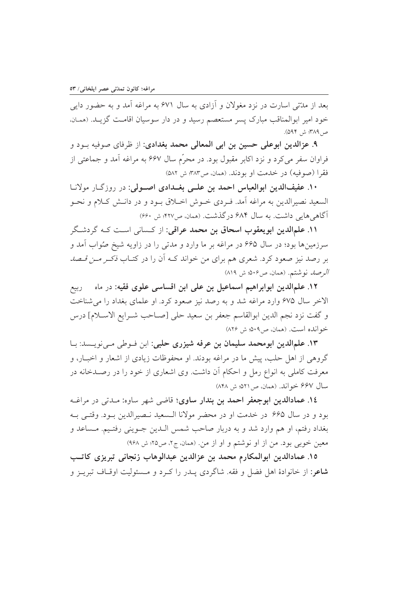بعد از مدّتی اسارت در نزد مغولان و آزادی به سال ۶۷۱ به مراغه آمد و به حضور دایی خود امیر ابوالمناقب مبارک پسر مستعصم رسید و در دار سوسیان اقامـت گزیــد. (همـان، ص4٨٩: ش ٥٩۴).

۹. عزالدين ابوعلى حسين بن ابي المعالي محمد بغدادي: از ظرفاي صوفيه بـود و فراوان سفر میکرد و نزد اکابر مقبول بود. در محرّم سال ۶۶۷ به مراغه آمد و جماعتی از فقرا (صوفيه) در خدمت او بودند. (همان ص٣٨٣: ش ٥٨٢)

۱۰. عفیفالدین ابوالعباس احمد بن علـی بغــدادی اصــولی: در روزگــار مولانــا السعيد نصيرالدين به مراغه أمد. فـردي خــوش اخــلاق بــود و در دانــش كــلام و نحــو آگاهی هایی داشت. به سال ۶۸۴ درگذشت. (همان، ص۴۲۷؛ ش ۶۶۰)

۱۱. علمالدین ابویعقوب اسحاق بن محمد عراقی: از کسانی است کـه گردشـگر سرزمینها بود؛ در سال ۶۶۵ در مراغه بر ما وارد و مدتی را در زاویه شیخ صُواب آمد و بر رصد نیز صعود کرد. شعری هم برای من خواند کـه آن را در کتـاب نکــر *مــن قـصد* الرصلہ نوشتم. (همان، ص۴۰۶: ش ۸۱۹)

١٢. علمالدين ابوابراهيم اسماعيل بن على ابن اقساسي علوى فقيه: در ماه – ربيع الاخر سال ۶۷۵ وارد مراغه شد و به رصد نیز صعود کرد. او علمای بغداد را می شناخت و گفت نزد نجم الدين ابوالقاسم جعفر بن سعيد حلي [صـاحب شـرايع الاسـلام] درس خوانده است. (همان، ص٩٠٩، ش ٨٢۶)

١٣. علمالدين ابومحمد سليمان بن عرفه شيزري حلبي: ابن فـوطي مـينويـسد: بـا گروهی از اهل حلب، پیش ما در مراغه بودند. او محفوظات زیادی از اشعار و اخبــار، و معرفت کاملی به انواع رمل و احکام آن داشت. وی اشعاری از خود را در رصـدخانه در سال ۶۶۷ خواند. (همان، ص۲۵۱، ش ۸۴۸)

١٤. عمادالدين ابوجعفر احمد بن بندار ساوي؛ قاضي شهر ساوه: مـدتي در مراغــه بود و در سال ۶۶۵ در خدمت او در محضر مولانا الـسعید نـصیرالدین بـود. وقتـی بـه بغداد رفتم، او هم وارد شد و به دربار صاحب شمس الـدين جـويني رفتـيم. مـساعد و معین خوبی بود. من از او نوشتم و او از من. (همان، ج۲، ص۲۵؛ ش ۹۶۸)

١٥. عمادالدين ابوالمكارم محمد بن عزالدين عبدالوهاب زنجاني تبريزي كاتب **شاعر:** از خانوادهٔ اهل فضل و فقه. شاگردی پــدر را کــرد و مــسئولیت اوقــاف تبریــز و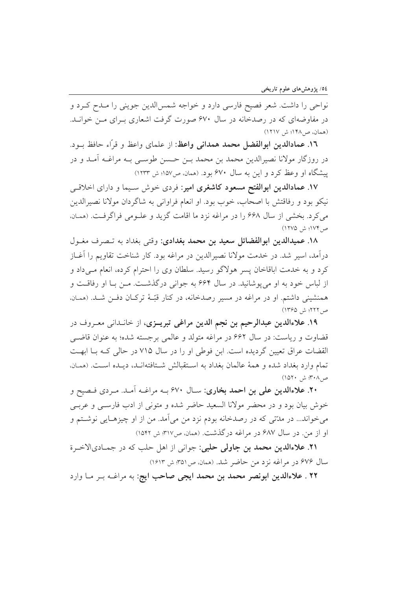نواحی را داشت. شعر فصیح فارسی دارد و خواجه شمسالدین جوینی را مـدح کـرد و در مفاوضهای که در رصدخانه در سال ۶۷۰ صورت گرفت اشعاری بـرای مـن خوانــد. (همان، ص1۴۸؛ ش ۱۲۱۷)

١٦. عمادالدين ابوالفضل محمد همداني واعظ: از علماي واعظ و قرَّاء حافظ بــود. در روزگار مولانا نصیرالدین محمد بن محمد بـن حـسن طوســی بــه مراغــه آمــد و در پیشگاه او وعظ کرد و این به سال ۶۷۰ بود. (همان، ص۱۵۷؛ ش ۱۲۳۳)

۱۷. عمادالدین ابوالفتح مسعود کاشغری امیر: فردی خوش سـیما و دارای اخلاقـی نيكو بود و رفاقتش با اصحاب، خوب بود. او انعام فراواني به شاگردان مولانا نصيرالدين می کرد. بخشی از سال ۶۶۸ را در مراغه نزد ما اقامت گزید و علـومی فراگرفـت. (همـان، ص ١٧٤؛ ش (١٢٧٥)

١٨. عميدالدين ابوالفضائل سعيد بن محمد بغدادي: وقتى بغداد به تـصرف مغـول درآمد، اسیر شد. در خدمت مولانا نصیرالدین در مراغه بود. کار شناخت تقاویم را آغــاز کرد و به خدمت اباقاخان پسر هولاگو رسید. سلطان وی را احترام کرده، انعام مـیداد و از لباس خود به او مي پوشانيد. در سال ۶۶۴ به جواني درگذشت. مـن بـا او رفاقـت و همنشینی داشتم. او در مراغه در مسیر رصدخانه، در کنار قبّـهٔ ترکـان دفـن شـد. (همـان، ص ٢٢٢؛ ش ١٣۶۵)

۱۹. علاءالدین عبدالرحیم بن نجم الدین مراغی تبریــزی، از خانــدان<sub>ی</sub> معــروف در قضاوت و ریاست: در سال ۶۶۲ در مراغه متولد و عالمی برجسته شده؛ به عنوان قاضبی القضات عراق تعیین گردیده است. ابن فوطی او را در سال ۷۱۵ در حالی کـه بـا ابهـت تمام وارد بغداد شده و همهٔ عالمان بغداد به استقبالش شـتافتهانـد، ديـده اسـت. (همـان، ص٨٠٣؛ ش ١٥٢٠)

۲۰. علاءالدین علی بن احمد بخاری: سـال ۶۷۰ بــه مراغــه آمــد. مـردی فــصيح و خوش بیان بود و در محضر مولانا السعید حاضر شده و متونی از ادب فارسبی و عرببی میخواند... در مدّتی که در رصدخانه بودم نزد من میآمد. من از او چیزهـایی نوشــتم و او از من در سال ۶۸۷ در مراغه درگذشت. (همان ص۳۱۷: ش ۱۵۴۲)

۲۱. علاءالدین محمد بن جاولی حلبی: جوانی از اهل حلب که در جمـادیالاخـرة سال ۶۷۶ در مراغه نزد من حاضر شد. (همان ص۵۱ به ش ۱۶۱۳)

٢٢ . علاءالدين ابونصر محمد بن محمد ايجي صاحب ايج: به مراغــه بــر مــا وارد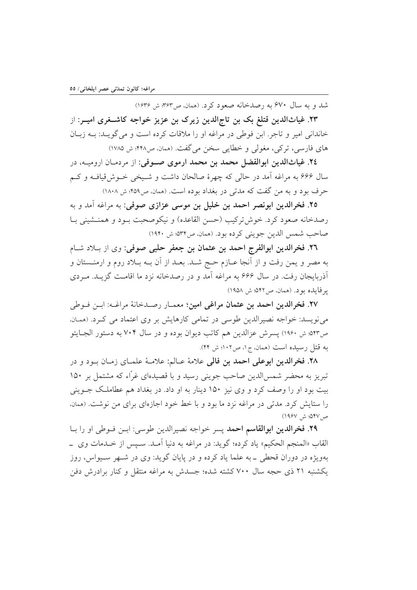شد و به سال ۶۷۰ به رصدخانه صعود کرد. (همان ص۳۶۳: ش ۱۶۳۶)

۲۳. غیاثالدین قتلغ بک بن تاج|لدین زیرک بن عزیز خواجه کاشــغری امیــر: از خاندانی امیر و تاجر. ابن فوطی در مراغه او را ملاقات کرده است و می گویـد: بـه زبـان های فارسی، ترکی، مغولی و خطایی سخن می گفت. (همان، ص۴۲۸: ش ۱۷۸۵)

٢٤. غياثالدين ابوالفضل محمد بن محمد ارموي صــوفي: از مردمــان اروميــه، در سال ۶۶۶ به مراغه آمد در حالي كه چهرهٔ صالحان داشت و شـيخي خـوش،قيافـه و كـم حرف بود و به من گفت که مدتبی در بغداد بوده است. (همان، ص۴۵۹؛ ش ۱۸۰۸)

٢٥. فخرالدين ابونصر احمد بن خليل بن موسى عزازى صوفى: به مراغه آمد و به رصدخانه صعود كرد. خوش تركيب (حسن القاعده) و نيكوصحبت بـود و همنــشيني بـا صاحب شمس الدين جويني كرده بود. (همان، ص٥٣۴: ش ١٩۴٠)

٢٦. فخرالدين ابوالفرج احمد بن عثمان بن جعفر حلبي صوفي: وي از بـلاد شـام به مصر و يمن رفت و از آنجا عــازم حــج شــد. بعــد از آن بــه بــلاد روم و ارمنــستان و آذربایجان رفت. در سال ۶۶۶ به مراغه آمد و در رصدخانه نزد ما اقامـت گزیـد. مـردی یر فایده بود. (همان، ص۱۴۲، ش ۱۹۵۸)

٢٧. فخرالدين احمد بن عثمان مراغى امين؛ معمــار رصــدخانهٔ مراغــه: ابــن فــوطى می نویسد: خواجه نصیرالدین طوسی در تمامی کارهایش بر وی اعتماد می کـرد. (همـان، ص٥۴٣؛ ش ١٩۶٠) يسرش عزالدين هم كاتب ديوان بوده و در سال ٧٠۴ به دستور الجبايتو به قتل رسیده است (همان، ج۱، ص۱۰۲؛ ش ۴۴).

۲۸. فخرالدین ابوعلی احمد بن فالی علامهٔ عـالم: علامـهٔ علمـای زمـان بـود و در تبریز به محضر شمس|لدین صاحب جوینی رسید و با قصیدهای غرّاء که مشتمل بر ۱۵۰ بیت بود او را وصف کرد و وی نیز ۱۵۰ دینار به او داد. در بغداد هم عطاملک جــوینی را ستایش کرد. مدتی در مراغه نزد ما بود و با خط خود اجازهای برای من نوشت. (همان، ص ۵۴۷؛ ش ۱۹۶۷)

٢٩. فخرالدين ابوالقاسم احمد پسر خواجه نصيرالدين طوسي: ابـن فـوطي او را بـا القاب «المنجم الحكيم» ياد كرده؛ گويد: در مراغه به دنيا آمـد. سـيس از خـدمات وي \_ بهويژه در دوران قحطي \_به علما ياد كرده و در پايان گويد: وي در شـهر سـيواس، روز یکشنبه ۲۱ ذی حجه سال ۷۰۰ کشته شده؛ جسدش به مراغه منتقل و کنار برادرش دفن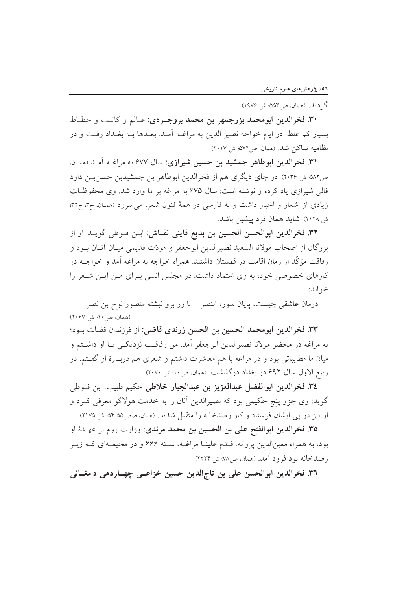گر دید. (همان، ص۳۵۳): ش ۱۹۷۶)

۳۰. فخرالدین ابومحمد بزرجمهر بن محمد بروجـردي: عـالم و كاتـب و خطـاط بسيار كم غلط. در ايام خواجه نصير الدين به مراغــه اَمــد. بعــدها بــه بغــداد رفــت و در نظاميه ساكن شد. (همان، ص٧٣٪ ش ٢٠١٧)

۳۱. فخرالدین ابوطاهر جمشید بن حسین شیرازی: سال ۶۷۷ به مراغــه آمــد (همــان. ص٥٨٢: ش ٢٠٣۶). در جاي ديگري هم از فخرالدين ابوطاهر بن جمشيدبن حسن بـن داود فالی شیرازی یاد کرده و نوشته است: سال ۶۷۵ به مراغه بر ما وارد شد. وی محفوظات زیادی از اشعار و اخبار داشت و به فارسی در همهٔ فنون شعر، می سرود (همان، ج۳، ج۳۲: ش ۲۱۲۸). شاید همان فرد پیشین باشد.

٣٢. فخرالدين ابوالحسن الحسين بن بديع قايني نقـاش: ابـن فـوطي گويـد: او از بزرگان از اصحاب مولانا السعید نصیرالدین ابوجعفر و مودّت قدیمی میـان آنـان بــود و رفاقت مؤكَّد از زمان اقامت در قهستان داشتند. همراه خواجه به مراغه آمد و خواجــه در کارهای خصوصی خود، به وی اعتماد داشت. در مجلس انسی بـرای مـن ایـن شـعر را خو اند:

درمان عاشقى چيست، يايان سورة النصر بـ با زر برو نبشته منصور نوح بن نصر (همان، ص۱۰؛ ش ۲۰۶۷)

٣٣. فخرالدين ابومحمد الحسين بن الحسن زرندي قاضي: از فرزندان قضات بـود؛ به مراغه در محضر مولانا نصيرالدين ابوجعفر أمد. من رفاقـت نزديكـي بــا او داشــتم و میان ما مطایباتی بود و در مراغه با هم معاشرت داشتم و شعری هم دربـارهٔ او گفــتم. در ربيع الاول سال ۶۹۲ در بغداد درگذشت. (همان، ص۱۰؛ ش ۲۰۷۰)

٣٤. فخرالدين ابوالفضل عبدالعزيز بن عبدالجبار خلاطي حكيم طبيب ابن فـوطى گوید: وی جزو پنج حکیمی بود که نصیرالدین آنان را به خدمت هولاگو معرفی کـرد و او نیز در یی ایشان فرستاد و کار رصدخانه را متقبل شدند. (ممان، صص۵۵ـ۵۴: ش ۲۱۷۵).

٣٥. فخرالدين ابوالفتح على بن الحسين بن محمد مرندي: وزارت روم بر عهـدة او بود، به همراه معینالدین پروانه. قـدم علینــا مراغــه، سـنه ۶۶۶ و در مخیمــهای کــه زیــر رصدخانه بود فرود آمد. (همان، ص٨٧؛ ش ٢٢٢٢)

٣٦. فخرالدين ابوالحسن على بن تاجالدين حسين خزاعــي چهــاردهي دامغــاني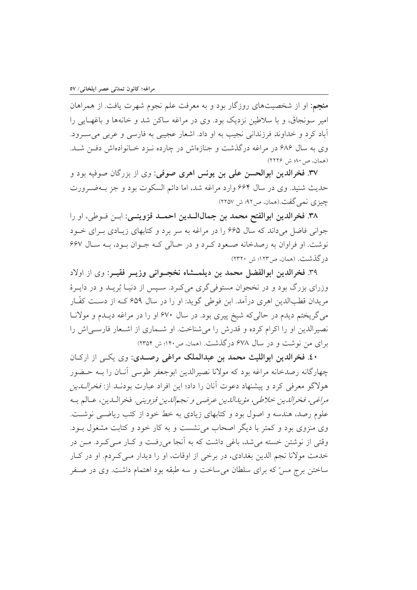**منجم**: او از شخصیتهای روزگار بود و به معرفت علم نجوم شهرت یافت. از همراهان امیر سونجاق، و با سلاطین نزدیک بود. وی در مراغه ساکن شد و خانهها و باغهـایی را آباد کرد و خداوند فرزندانی نجیب به او داد. اشعار عجیبی به فارسی و عربی میسرود. وی به سال ۶۸۶ در مراغه درگذشت و جنازهاش در چارده نـزد خـانوادهاش دفـن شـد. (همان، ص ۸۰؛ ش ۲۲۲۶)

٣٧. فخرالدين ابوالحسن على بن يونس اهرى صوفي: وي از بزرگان صوفيه بود و حديث شنيد. وي در سال ۶۶۴ وارد مراغه شد، اما دائم السكوت بود و جز بـهضـرورت چیزی نمی گفت.(همان، ص۹۲؛ ش ۲۲۵۷)

۳۸. فخرالدین ابوالفتح محمد بن جمالاللدین احمـد قزوینــی: ابــن فــوطی، او را جواني فاضل مي داند كه سال ۶۶۵ را در مراغه به سر برد و كتابهاي زيـادي بـراي خـود نوشت. او فراوان به رصدخانه صعود کرد و در حیالی کیه جنوان بنود، بنه سیال ۶۶۷ در گذشت. (همان، ص١٢٣؛ ش ٢٣٢٠)

۳۹. فخرالدین ابوالفضل محمد بن دیلمــشاه نخجــوانی وزیــر فقیــر: وی از اولاد وزرای بزرگ بود و در نخجوان مستوفی گری می کـرد. سـیس از دنیـا بُریــد و در دایــرهٔ مريدان قطبالدين اهري درآمد. ابن فوطي گويد: او را در سال ۶۵۹ كــه از دســت كفّــار می گریختم دیدم در حالی که شیخ پیری بود. در سال ۶۷۰ او را در مراغه دیـدم و مولانـا نصیرالدین او را اکرام کرده و قدرش را می شناخت. او شــماری از اشــعار فارســی اش را برای من نوشت و در سال ۶۷۸ درگذشت. (همان، ص۱۴۰؛ ش ۲۳۵۴)

٤٠. فخرالدين ابوالليث محمد بن عبدالملك مراغي رصدي: وي يكي از اركـان چهارگانه رصدخانه مراغه بود که مولانا نصیرالدین ابوجعفر طوسی آنـان را بــه حـضور هولاگو معرفی کرد و پیشنهاد دعوت آنان را داد؛ این افراد عبارت بودنــد از: *فخرالــدین* مراغبي، فخرالدين خلاطي، مؤيدالدين عرضبي و نجمالدين قزويني. فخرالـدين، عــالم بــه علوم رصد، هندسه و اصول بود و کتابهای زیادی به خط خود از کتب ریاضی نوشت. وی منزوی بود و کمتر با دیگر اصحاب می نشست و به کار خود و کتابت مشغول بـود. وقتي از نوشتن خسته مي شد، باغي داشت كه به آنجا مي رفت و كــار مــي كــرد. مــن در خدمت مولانا نجم الدين بغدادي، در برخي از اوقات، او را ديدار مـي كـردم. او در كـار ساختن برج مسّ که برای سلطان میساخت و سه طبقه بود اهتمام داشت. وی در صـفر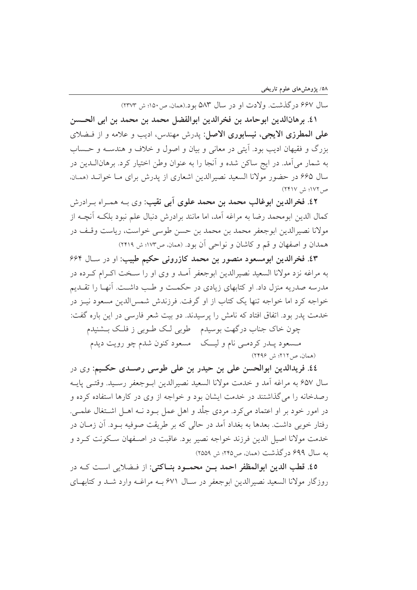سال ۶۶۷ در گذشت. ولادت او در سال ۵۸۳ بو د.(همان، ص۱۵۰؛ ش ۲۳۷۳)

٤١. برهانالدين ابوحامد بن فخرالدين ابوالفضل محمد بن محمد بن ابي الحــسن على المطرزي الايجي، نيسابوري الاصل: يدرش مهندس، اديب و علامه و از فـضلاي بزرگ و فقیهان ادیب بود. آیتی در معانی و بیان و اصول و خلاف و هندسـه و حـساب به شمار می آمد. در ایج ساکن شده و آنجا را به عنوان وطن اختیار کرد. برهانالــدین در سال ۶۶۵ در حضور مولانا السعید نصیرالدین اشعاری از یدرش برای مـا خوانـد (همـان. ص ١٧٢؛ ش ٢٣١٧)

٤٢. فخرالدين ابوغالب محمد بن محمد علوى آبي نقيب: وي بــه همـراه بــرادرش كمال الدين ابومحمد رضا به مراغه أمد، اما مانند برادرش دنبال علم نبود بلكــه أنچــه از مولانا نصيرالدين ابوجعفر محمد بن محمد بن حسن طوسي خواست، رياست وقـف در همدان و اصفهان و قم و كاشان و نواحي آن بود. (ممان، ص١٧٣؛ ش ٢٤١٩)

٤٣. فخرالدين ابومسعود منصور بن محمد كازروني حكيم طبيب: او در سـال ۶۶۴ به مراغه نزد مولانا السعید نصیرالدین ابوجعفر آمـد و وی او را سـخت اکـرام کـرده در مدرسه صدر به منزل داد. او کتابهای زیادی در حکمت و طب داشت. آنهـا را تقــدیم خواجه کرد اما خواجه تنها یک کتاب از او گرفت. فرزندش شمس الدین مسعود نیـز در خدمت يدر بود. اتفاق افتاد كه نامش را يرسيدند. دو بيت شعر فارسي در اين باره گفت:

چون خاک جناب درگهت بوسیدم طوبی لک طـوبی ز فلـک بــشنیدم

مـسعود پــدر کردمــی نام و لیـــک \_ مسعود کنون شدم چو رویت دیدم (همان، ص ٢١٢؛ ش ٢۴٩۶)

٤٤. فريدالدين ابوالحسن على بن حيدر بن على طوسى رصـدى حكـيم: وى در سال ۶۵۷ به مراغه آمد و خدمت مولانا السعيد نصيرالدين ابـوجعفر رسـيد. وقتـبي پايــه رصدخانه را می گذاشتند در خدمت ایشان بود و خواجه از وی در کارها استفاده کرده و در امور خود بر او اعتماد می کرد. مردی جلَّد و اهل عمل بـود نــه اهــل اشــتغال علمــی. رفتار خوبی داشت. بعدها به بغداد آمد در حالی که بر طریقت صوفیه بــود. آن زمــان در خدمت مولانا اصیل الدین فرزند خواجه نصیر بود. عاقبت در اصـفهان سـکونت کـرد و به سال ۶۹۹ در گذشت (همان، ص ۲۴۵؛ ش ۲۵۵۹)

٤٥. قطب الدين ابوالمظفر احمد بـن محمــود بنــاكتي: از فـضلايي اسـت كــه در روزگار مولانا السعید نصیرالدین ابوجعفر در سـال ۶۷۱ بـه مراغـه وارد شـد و کتابهـای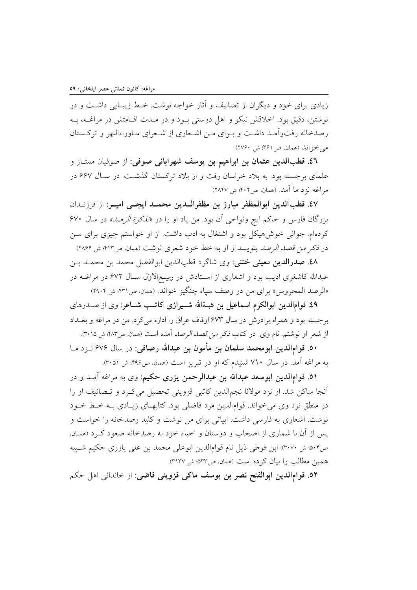زیادی برای خود و دیگران از تصانیف و آثار خواجه نوشت. خـط زیبـایی داشـت و در نوشتن، دقیق بود. اخلاقش نیکو و اهل دوستی بـود و در مـدت اقـامتش در مراغــه، بــه رصدخانه رفتواّمـد داشـت و بـرای مـن اشـعاری از شـعرای مـاوراءالنهر و ترکـستان مي خواند (همان، ص٢۶١؛ ش ٢٧٤٠)

٤٦. قطبالدين عثمان بن ابراهيم بن يوسف شهراباني صوفي: از صوفيان ممتـاز و علمای برجسته بود. به بلاد خراسان رفت و از بلاد ترکستان گذشت. در سـال ۶۶۷ در مراغه نزد ما آمد. (همان، ص۴۰۲: ش ۲۸۴۷)

٤٧. قطبالدين ابوالمظفر مبارز بن مظفرالـدين محمــد ايجــي اميــر: از فرزنــدان بزرگان فارس و حاکم ایج ونواحی آن بود. من یاد او را در «*تذکرة الرصد»* در سال ۶۷۰ کردهام. جوانی خوش هیکل بود و اشتغال به ادب داشت. از او خواستم چیزی برای مـن در ذكر *من قصد الرصد* بنويسد و او به خط خود شعرى نوشت (همان، ص۴۱۳: ش ۲۸۶۶)

٤٨. صدرالدين معيني ختني: وي شاگرد قطبالدين ابوالفضل محمد بن محمـد بـن عبدالله کاشغری ادیب بود و اشعاری از اسـتادش در ربیـع|لاول سـال ۶۷۲ در مراغــه در «الرصد المحروس» براي من در وصف سياه چنگيز خواند. (همان، ص٣٣١؛ ش ٢٩٠٤)

٤٩. قوامالدين ابوالكرم اسماعيل بن هبــةالله شـــيرازي كاتــب شــاعر: وي از صــدرهاي برجسته بود و همراه برادرش در سال ۶۷۳ اوقاف عراق را اداره می کرد. من در مراغه و بغــداد از شعر او نوشتم. نام وی در کتاب *ذکر من قصد الرصد* آمده است (همان ص۴۸۳: ش ۳۰۱۵).

٥٠. قوامالدين ابومحمد سلمان بن مأمون بن عبدالله رصافي: در سال ۶۷۶ نــزد مــا به مراغه آمد. در سال ۷۱۰ شنیدم که او در تبریز است (همان، ص۴۹۶؛ ش ۳۰۵۱).

٥١. قوامالدين ابوسعد عبدالله بن عبدالرحمن يزرى حكيم: وى به مراغه آمـد و در أنجا ساكن شد. او نزد مولانا نجمالدين كاتبي قزويني تحصيل ميكرد و تـصانيف او را در منطق نزد وی می خواند. قوامالدین مرد فاضلی بود. کتابهـای زیـادی بـه خـط خـود نوشت. اشعاری به فارسی داشت. ابیاتی برای من نوشت و کلید رصدخانه را خواست و يس از آن با شماري از اصحاب و دوستان و احباء خود به رصدخانه صعود كـرد (همـان. ص٥٠۴: ش ٣٠٧٠). ابن فوطي ذيل نام قوامالدين ابوعلي محمد بن علي يازري حكيم شـبيه همین مطالب را بیان کرده است (همان، ص۵۳۳: ش ۳۱۳۷).

٥٢. قوامالدين ابوالفتح نصر بن يوسف ماكي قزويني قاضي: از خانداني اهل حكم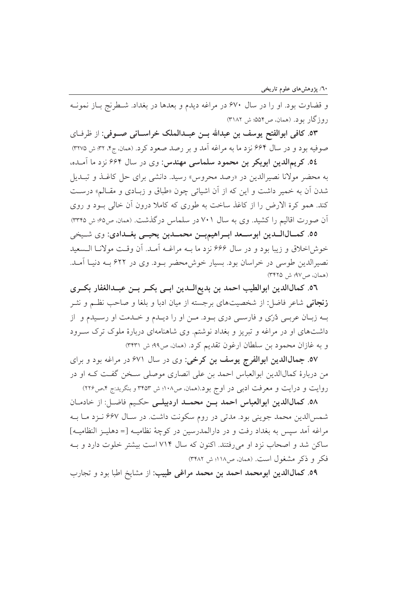و قضاوت بود. او را در سال ۶۷۰ در مراغه دیدم و بعدها در بغداد. شطرنج باز نمونـه روزگار بو د. (همان، ص۵۵۴: ش ۳۱۸۲)

٥٣. كافي ابوالفتح يوسف بن عبدالله بــن عبــدالملك خراســاني صــوفي: از ظرفــاي صوفيه بود و در سال ۶۶۴ نزد ما به مراغه آمد و بر رصد صعود کرد. (همان ج۴، ۳۲ ش ۳۷۷۵)

٥٤. كريمالدين ابوبكر بن محمود سلماسي مهندس: وي در سال ۶۶۴ نزد ما آمـده، به محضر مولانا نصیرالدین در «رصد محروس» رسید. دانشی برای حل کاغـذ و تبـدیل شدن آن به خمیر داشت و این که از آن اشیائی چون «طباق و زبادی و مقالم» درست کند. همو کرة الارض را از کاغذ ساخت به طوری که کاملا درون آن خالی بود و روی آن صورت اقالیم را کشید. وی به سال ۷۰۱ در سلماس درگذشت. (همان، ص۶۵؛ ش ۳۳۴۵)

٥٥. كمـالالـدين ابوسـعد ابـراهيمبـن محمـدبن يحيــي بغـدادي: وي شـيخي خوش اخلاق و زيبا بود و در سال ۶۶۶ نزد ما بـه مراغـه آمـد. آن وقـت مولانـا الـسعيد نصیرالدین طوسی در خراسان بود. بسیار خوش محضر بود. وی در ۶۲۲ بـه دنیـا آمـد. (همان، ص٧٩: ش ٣٤٢٥)

٥٦. كمالالدين ابوالطيب احمد بن بديع|لــدين ابــي بكــر بــن عبــدالغفار بكــرى **زنجان**ی شاعر فاضل: از شخصیتهای برجسته از میان ادبا و بلغا و صاحب نظـم و نشـر بـه زبـان عربـي دُرّي و فارسـي دري بـود. مـن او را ديـدم و خـدمت او رسـيدم و از داشتهای او در مراغه و تبریز و بغداد نوشتم. وی شاهنامهای دربارهٔ ملوک ترک سـرود و به غازان محمود بن سلطان ارغون تقديم كرد. (همان ص۹۹؛ ش ۳۴۳۱)

٥٧. جمال الدين ابوالفرج يوسف بن كرخي: وي در سال ۶۷۱ در مراغه بود و براي من دربارهٔ کمالالدین ابوالعباس احمد بن علی انصاری موصلی سـخن گفـت کـه او در روایت و درایت و معرفت ادبی در اوج بود.(همان، ص۱۰۸؛ ش ۳۴۵۳ و بنگرید:ج ۴،ص۲۲۶)

٥٨. كمالاللدين ابوالعباس احمد بين محمـد اردبيلـي حكـيم فاضـل: از خادمـان شمسالدين محمد جويني بود. مدتي در روم سكونت داشت. در سـال ۶۶۷ نـزد مـا بـه مراغه آمد سيس به بغداد رفت و در دارالمدرسين در كوچهٔ نظاميـه [= دهليـز النظاميـه] ساکن شد و اصحاب نزد او می رفتند. اکنون که سال ۷۱۴ است بیشتر خلوت دارد و بـه فكر و ذكر مشغول است. (همان، ص١١٨؛ ش ٣٤٨٢)

٥٩. كمالاالدين ابومحمد احمد بن محمد مراغى طبيب: از مشايخ اطبا بود و تجارب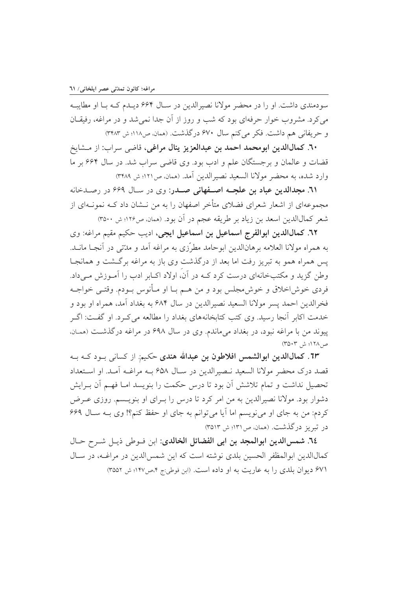سودمندي داشت. او را در محضر مولانا نصيرالدين در سـال ۶۶۴ ديـدم كـه بـا او مطايبـه می کرد. مشروب خوار حرفهای بود که شب و روز از آن جدا نمی شد و در مراغه، رفیقـان و حريفاني هم داشت. فكر مي كنم سال ۶۷۰ درگذشت. (همان، ص١١٨؛ ش ٣٢٨٣)

٦٠. كمالالدين ابومحمد احمد بن عبدالعزيز ينال مراغي، قاضي سراب: از مــشايخ قضات و عالمان و برجستگان علم و ادب بود. وی قاضی سراب شد. در سال ۶۶۴ بر ما وارد شده، به محضر مولانا السعيد نصيرالدين أمد. (همان، ص١٢١؛ ش ٣٤٨٩)

٦١. مجدالدين عباد بن علجــه اصــفهاني صــدر: وي در سـال ۶۶۹ در رصـدخانه مجموعهای از اشعار شعرای فضلای متأخر اصفهان را به من نــشان داد کــه نمونــهای از شعر كمالالدين اسعد بن زياد بر طريقه عجم در آن بود. (همان ص١٢۶؛ ش ٣٥٠٠)

٦٢. كمالالدين ابوالفرج اسماعيل بن اسماعيل ايجي، اديب حكيم مقيم مراغه: وي به همراه مولانا العلامه برهانالدین ابوحامد مطرّزی به مراغه آمد و مدّتی در آنجـا مانــد. پس همراه همو به تبریز رفت اما بعد از درگذشت وی باز به مراغه برگشت و همانجـا وطن گزید و مکتبخانهای درست کرد کـه در آن، اولاد اکـابر ادب را آمـوزش مـیداد. فردي خوش اخلاق و خوش مجلس بود و من هـم بــا او مــأنوس بــودم. وقتــى خواجــه فخرالدين احمد پسر مولانا السعيد نصيرالدين در سال ۶۸۴ به بغداد آمد، همراه او بود و خدمت اکابر اّنجا رسید. وی کتب کتابخانههای بغداد را مطالعه می کـرد. او گفـت: اگـر پیوند من با مراغه نبود، در بغداد میماندم. وی در سال ۶۹۸ در مراغه درگذشت (همان. ص ١٢٨؛ ش ٣٥٠٣)

٦٣. كمالالدين ابوالشمس افلاطون بن عبدالله هندي حكيم: از كساني بـود كــه بــه قصد درك محضر مولانا السعيد نـصيرالدين در سـال ۶۵۸ بــه مراغــه آمـد. او اسـتعداد تحصيل نداشت و تمام تلاشش آن بود تا درس حكمت را بنويسد امــا فهــم آن بــرايش دشوار بود. مولانا نصیرالدین به من امر کرد تا درس را بــرای او بنویــسم. روزی عــرض کردم: من به جای او می نویسم اما آیا می توانم به جای او حفظ کنم؟! وی بـه سـال ۶۶۹ در تبریز درگذشت. (همان، ص۱۳۱؛ ش ۳۵۱۳)

٦٤. شمس الدين ابوالمجد بن ابي الفضائل الخالدي: ابن فـوطي ذيـل شـرح حـال كمالالدين ابوالمظفر الحسين بلدي نوشته است كه اين شمس الدين در مراغـه، در سـال ۶۷۱ دیوان بلدی را به عاریت به او داده است. (ابن فوطی:ج ۴،ص۱۴۷؛ ش ۳۵۵۲)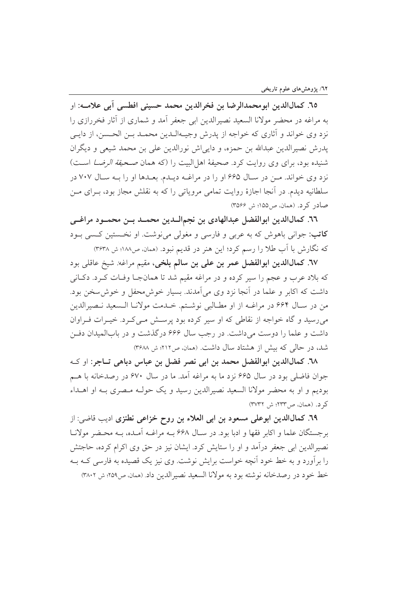٦٥. كمالالدين ابومحمدالرضا بن فخرالدين محمد حسيني افطسي آبي علامــه: او به مراغه در محضر مولانا السعید نصیرالدین ابی جعفر آمد و شماری از آثار فخررازی را نزد وي خواند و آثاري كه خواجه از يدرش وجيــهالــدين محمــد بــن الحــسن، از دايــي يدرش نصيرالدين عبدالله بن حمزه، و دايي اش نورالدين على بن محمد شيعي و ديگران شنیده بود، برای وی روایت کرد. صحیفهٔ اهل البیت را (که همان صحی*فة الرضا* اسـت) نزد وي خواند. مـن در سـال ۶۶۵ او را در مراغـه ديـدم. بعـدها او را بـه سـال ۷۰۷ در سلطانیه دیدم. در آنجا اجازهٔ روایت تمامی مرویاتی را که به نقلش مجاز بود، بـرای مـن صادر کرد. (همان، ص ۱۵۵؛ ش ۳۵۶۶)

٦٦. كمالاللدين ابوالفضل عبدالهادي بن نجمالـدين محمـد بــن محمــود مراغــي **کاتب:** جواني باهوش که به عربي و فارسي و مغولي مي نوشت. او نخـستين کـسي بـود که نگارش با آب طلا را رسم کرد؛ این هنر در قدیم نبود. (همان، ص۱۸۸؛ ش ۳۶۳۸)

٦٧. كمال الدين ابوالفضل عمر بن على بن سالم بلخي، مقيم مراغه: شيخ عاقلي بود که بلاد عرب و عجم را سیر کرده و در مراغه مقیم شد تا همانجا وفـات کـرد. دکـانی داشت که اکابر و علما در آنجا نزد وی می آمدند. بسیار خوش محفل و خوش سخن بود. من در سـال ۶۶۴ در مراغــه از او مطــالبي نوشــتم. خــدمت مولانــا الــسعيد نــصيرالدين می رسید و گاه خواجه از نقاطی که او سیر کرده بود پرسش مـیکرد. خیـرات فـراوان داشت و علما را دوست میداشت. در رجب سال ۶۶۶ درگذشت و در بابالمیدان دفـن شد، در حالی که بیش از هشتاد سال داشت. (همان، ص٢١٢؛ ش ٣۶٨٨)

٦٨. كمال الدين ابوالفضل محمد بن ابي نصر فضل بن عباس دباهي تــاجر: او كــه جوان فاضلي بود در سال ۶۶۵ نزد ما به مراغه آمد. ما در سال ۶۷۰ در رصدخانه با هـم بودیم و او به محضر مولانا السعید نصیرالدین رسید و یک حولـه مـصری بـه او اهــداء كرد. (همان، ص٣٢٣؛ ش ٣٧٣٢)

٦٩. كمال الدين ابوعلى مسعود بن ابي العلاء بن روح خزاعي نطنزي اديب قاضي: از برجستگان علما و اکابر فقها و ادبا بود. در سـال ۶۶۸ بـه مراغـه آمـده، بـه محـضر مولانـا نصیرالدین ابی جعفر درآمد و او را ستایش کرد. ایشان نیز در حق وی اکرام کرده، حاجتش را برآورد و به خط خود آنچه خواست برایش نوشت. وی نیز یک قصیده به فارسی کـه بـه خط خود در رصدخانه نوشته بود به مولانا السعيد نصيرالدين داد (همان ص٢٥٩؛ ش ٣٨٠٢)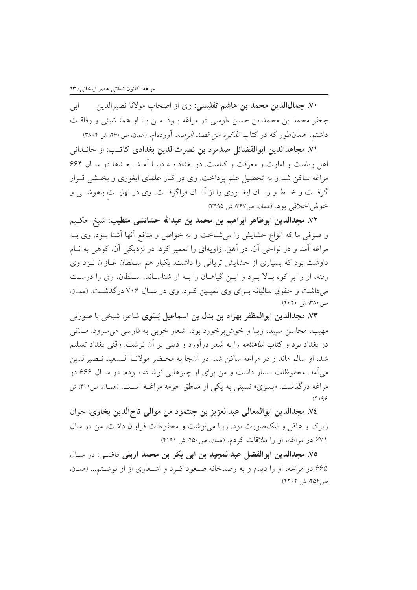۷۰. جمالµلدین محمد بن هاشم تفلیسی: وی از اصحاب مولانا نصیرالدین ابى جعفر محمد بن محمد بن حسن طوسی در مراغه بــود. مــن بــا او همنــشينی و رفاقــت داشتم، همانطور که در کتاب *تذکرة من قصد الرصد* آوردهام. (همان ص۲۶۰: ش ۳۸۰۴)

٧١. مجاهدالدين ابوالفضائل صدمرد بن نصرتالدين بغدادي كاتب: از خانــداني اهل ریاست و امارت و معرفت و کیاست. در بغداد بـه دنیـا آمـد. بعـدها در سـال ۶۶۴ مراغه ساکن شد و به تحصیل علم پرداخت. وی در کنار علمای ایغوری و بخــشی قــرار گرفت و خـط و زبـان ايغــوري را از آنــان فراگرفــت. وي در نهايــت باهوشــي و خوش|خلاقی بود. (همان، ص۳۶۷: ش ۳۹۹۵)

٧٢. مجدالدين ابوطاهر ابراهيم بن محمد بن عبدالله حشائشي متطبب: شيخ حكـيم و صوفي ما كه انواع حشايش را مي شناخت و به خواص و منافع آنها آشنا بـود. وي بـه مراغه آمد و در نواحی آن، در آهق، زاویهای را تعمیر کرد. در نزدیکی آن، کوهی به نـام داوشت بود که بسیاری از حشایش تریاقی را داشت. یکبار هم سـلطان غـازان نـزد وی رفته، او را بر کوه بـالا بـرد و ايـن گياهــان را بــه او شناســاند. ســلطان، وي را دوســت می داشت و حقوق سالیانه به ای وی تعیین که د. وی در سال ۷۰۶ درگذشت. (همان، ص ۳۸۰: ش ۴۰۲۰)

٧٣. مجدالدين ابوالمظفر بهزاد بن بدل بن اسماعيل بَسَوى شاعر: شيخي با صورتي مهيب، محاسن سپيد، زيبا و خوش برخورد بود. اشعار خوبي به فارسي مي سرود. مــدّتي در بغداد بود و کتاب *شاهنامه* را به شعر درآورد و ذیل<sub>ی</sub> بر آن نوشت. وقتی بغداد تسلیم شد، او سالم ماند و در مراغه ساکن شد. در آنجا به محـضر مولانــا الــسعيد نــصيرالدين می آمد. محفوظات بسیار داشت و من برای او چیزهایی نوشـته بـودم. در سـال ۶۶۶ در مراغه در گذشت. «بسوی» نسبتی به یکی از مناطق حومه مراغـه اسـت. (همـان ص ۴۱۱؛ ش  $(Y \cdot 99)$ 

٧٤. مجدالدين ابوالمعالي عبدالعزيز بن جنتمود من موالي تاج الدين بخاري: جوان زیرک و عاقل و نیکصورت بود. زیبا می نوشت و محفوظات فراوان داشت. من در سال ۶۷۱ در مراغه، او را ملاقات کردم. (همان، ص۴۵۰: ش ۴۱۹۱)

٧٥. مجدالدين ابوالفضل عبدالمجيد بن ابي بكر بن محمد اربلي قاضي: در سـال ۶۶۵ در مراغه، او را دیدم و به رصدخانه صعود کرد و اشعاری از او نوشتم... (همان، ص ۴۵۴؛ ش ۴۲۰۲)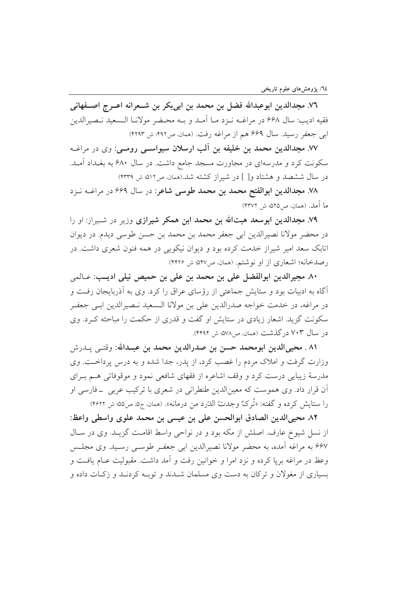٧٦. مجدالدين ابوعبدالله فضل بن محمد بن ابي بكر بن شــعرانه اعــرج اصــفهاني فقيه اديب: سال ۶۶۸ در مراغــه نــزد مــا آمــد و بــه محــضر مولانــا الــسعيد نــصيرالدين ابي جعفر رسيد. سال ۶۶۹ هم از مراغه رفت. (همان، ص۴۹۲؛ ش ۴۲۹۳)

٧٧. مجدالدین محمد بن خلیفه بن آلب ارسلان سیواســی رومــی: وی در مراغــه سکونت کرد و مدرسهای در مجاورت مسجد جامع داشت. در سال ۶۸۰ به بغـداد آمـد. در سال ششصد و هشتاد و[ ] در شیراز کشته شد.(همان ص٥١٢: ش ۴۳۳۹)

۷۸. مجدالدین ابوالفتح محمد بن محمد طوسی شاعر: در سال ۶۶۹ در مراغــه نــزد ما آمد. (همان، ص٥٢۵: ش ٣٣٧٢)

۷۹. مجدالدین ابوسعد هبتالله بن محمد ابن همکر شیرازی وزیر در شـیراز: او را در محضر مولانا نصيرالدين ابي جعفر محمد بن محمد بن حسن طوسي ديدم. در ديوان اتابک سعد امیر شیراز خدمت کرده بود و دیوان نیکویی در همه فنون شعری داشت. در رصدخانه؛ اشعاری از او نوشتم. (همان، ص۵۴۷: ش ۴۲۲۶)

٨٠. مجيرالدين ابوالفضل على بن محمد بن على بن حميص نيلي اديب: عـالمي آگاه به ادبیات بود و ستایش جماعتی از رؤسای عراق را کرد. وی به آذربایجان رفت و در مراغه، در خدمت خواجه صدرالدین علی بن مولانا الـسعید نـصیرالدین ابـی جعفـر سکونت گزید. اشعار زیادی در ستایش او گفت و قدری از حکمت را مباحثه کـرد. وی در سال ۷۰۳ در گذشت (همان، ص۷۸٪ ش ۴۴۹۴).

٨١ . محيىالدين ابومحمد حسن بن صدرالدين محمد بن عبـدالله: وقتـي پــدرش وزارت گرفت و املاک مردم را غصب کرد، از پدر، جدا شده و به درس پرداخت. وی مدرسهٔ زیبایی درست کرد و وقف اشاعره از فقهای شافعی نمود و موقوفاتی هـم بـرای اّن قرار داد. وي هموست كه معينالدين طنطراني در شعري با تركيب عربي \_فارسي او را ستايش كرده و گفته: «تُرِكٌ وجدتُ الدّرد من درمانه». (همان، ج۵، ص۵۵؛ ش ۴۶۲۲)

٨٢. محيىالدين الصادق ابوالحسن على بن عيسى بن محمد علوى واسطى واعظ: از نسل شیوخ عارف. اصلش از مکه بود و در نواحی واسط اقامت گزیـد. وی در سـال ۶۶۷ به مراغه آمده، به محضر مولانا نصیرالدین ابی جعفـر طوسـی رسـید. وی مجلـس وعظ در مراغه بريا كرده و نزد امرا و خوانين رفت و آمد داشت. مقبوليت عــام يافــت و بسیاری از مغولان و ترکان به دست وی مسلمان شــدند و توبــه کردنــد و زکــات داده و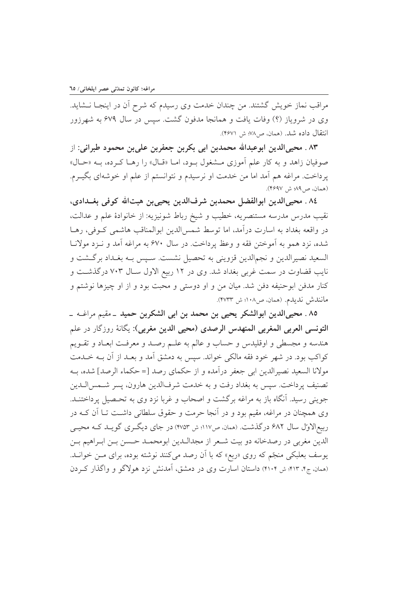مراقب نماز خویش گشتند. من چندان خدمت وی رسیدم که شرح آن در اینجـا نــشاید. وی در شرویاز (؟) وفات یافت و همانجا مدفون گشت. سپس در سال ۶۷۹ به شهرزور انتقال داده شد. (همان، ص٧٨؛ ش ۴۶۷۱).

٨٣ . محيىالدين ابوعبدالله محمدبن ابي بكربن جعفربن علىبن محمود طبراني: از صوفيان زاهد و به كار علم آموزي مـشغول بـود، امـا «قـال» را رهـا كـرده، بـه «حـال» پرداخت. مراغه هم آمد اما من خدمت او نرسیدم و نتوانستم از علم او خوشهای بگیــرم. (همان، ص48، ش ۴۶۹۷).

٨٤. محيىالدين ابوالفضل محمدبن شرفالدين يحيىبن هبتالله كوفي بغــدادي، نقيب مدرس مدرسه مستنصريه، خطيب و شيخ رباط شونيزيه: از خانوادهٔ علم و عدالت، در واقعه بغداد به اسارت درآمد، اما توسط شمس|لدین ابوالمناقب هاشمی کـوفی، رهـا شده، نزد همو به آموختن فقه و وعظ پرداخت. در سال ۶۷۰ به مراغه آمد و نـزد مولانـا السعيد نصيرالدين و نجمالدين قزويني به تحصيل نشست. سـيس بــه بغــداد برگــشت و نایب قضاوت در سمت غربی بغداد شد. وی در ۱۲ ربیع الاول سـال ۷۰۳ درگذشـت و كنار مدفن ابوحنيفه دفن شد. ميان من و او دوستى و محبت بود و از او چيزها نوشتم و مانندش نديدم. (همان، ص١٠٨؛ ش ٣٧٣٣).

٨٥ . محيىالدين ابوالشكر يحيى بن محمد بن ابى الشكربن حميد \_مقيم مراغــه \_ التونسي العربي المغربي المنهدس الرصدي (محيى الدين مغربي): يگانهٔ روزگار در علم هندسه و مجسطى و اوقليدس و حساب و عالم به علـم رصـد و معرفـت ابعـاد و تقـويم كواكب بود. در شهر خود فقه مالكي خواند. سيس به دمشق آمد و بعـد از آن بــه خــدمت مولانا السعيد نصيرالدين ابي جعفر درآمده و از حكماي رصد [=حكماء الرصد] شده، بـه تصنيف پرداخت. سپس به بغداد رفت و به خدمت شرفالدين هارون، پسر شــمس|لــدين جوینی رسید. آنگاه باز به مراغه برگشت و اصحاب و غربا نزد وی به تحـصیل پرداختنــد. وی همچنان در مراغه، مقیم بود و در آنجا حرمت و حقوق سلطانی داشت تـا آن کـه در ربیع|لاوّل سال ۶۸۲ درگذشت. (همان، ص۱۱۷؛ ش ۴۷۵۳) در جای دیگری گویـد کـه محیـی الدين مغربي در رصدخانه دو بيت شـعر از مجدالـدين ابومحمـد حـسن بـن ابـراهيم بـن پوسف بعلبکی منجّم که روی «ربع» که با آن رصد میکنند نوشته بوده، برای مــن خوانــد. (همان، ج۴، ۴۱۳؛ ش ۴۱۰۴) داستان اسارت وی در دمشق، آمدنش نزد هولاگو و واگذار کردن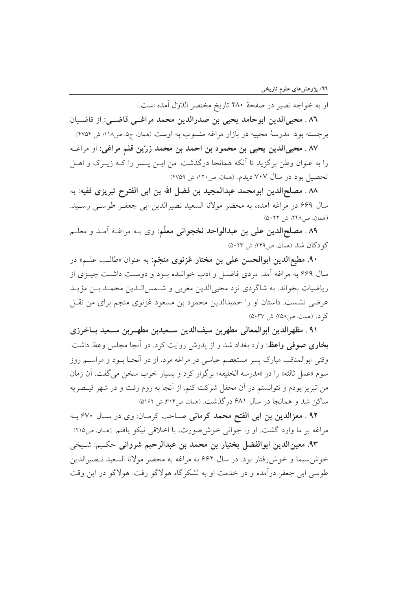او به خواجه نصير در صفحهٔ ۲۸۰ تاريخ مختصر الدّول آمده است.

٨٦ . محيىالدين ابوحامد يحيى بن صدرالدين محمد مراغــي قاضــي: از قاضـيان برجسته بود. مدرسهٔ محبیه در بازار مراغه منسوب به اوست (همان، ج۵ ص۱۱۸؛ ش ۴۷۵۴).

٨٧ . محيىالدين يحيى بن محمود بن احمد بن محمد زرّين قلم مراغي: او مراغـه را به عنوان وطن برگزید تا آنکه همانجا درگذشت. من ایـن پـسر را کــه زیــرک و اهــل تحصيل بود در سال ٧٠٧ ديدم. (همان، ص١٢٠؛ ش ٣٧٥٩)

٨٨ . مصلحالدين ابومحمد عبدالمجيد بن فضل الله بن ابي الفتوح تبريزي فقيه: به سال ۶۶۹ در مراغه آمده، به محضر مولانا السعید نصیرالدین ابی جعفـر طوسـی رسـید. (همان، ص ٢٢٨؛ ش ٥٠٢٢)

۸۹ . مصلحالدين على بن عبدالواحد نخجواني معلّم: وي بــه مراغــه آمــد و معلــم كو دكان شد (همان، ص٢٢٩؛ ش ٥٠٢٣)

۹۰. مطیع**الدین ابوالحسن علی بن مختار غزنوی منجّم**: به عنوان «طالـب علــم» در سال ۶۶۹ به مراغه آمد. مردی فاضل و ادب خوانـده بـود و دوسـت داشـت چیــزی از رياضيات بخواند. به شاگردي نزد محيىالدين مغربي و شـمس|لـدين محمـد بـن مؤيـد عرضي نشست. داستان او را حميدالدين محمود بن مسعود غزنوي منجم براي من نقبل کر د. (همان، ص ٢٥٨؛ ش ٥٠٣٧)

۹۱ . مظهرالدين ابوالمعالي مطهربن سيفالدين سـعيدبن مطهـربن سـعيد بــاخرزي بخاری صوفی واعظ: وارد بغداد شد و از پدرش روایت کرد. در آنجا مجلس وعظ داشت. وقتی ابوالمناقب مبارک پسر مستعصم عباسی در مراغه مرد، او در آنجـا بــود و مراســـم روز سوم «عمل ثالثه» را در «مدرسه الخليفه» برگزار كرد و بسيار خوب سخن مي گفت. آن زمان من تبریز بودم و نتوانستم در آن محفل شرکت کنم. از آنجا به روم رفت و در شهر قیـصریه ساکن شد و همانجا در سال ۶۸۱ درگذشت. (همان ص۳۱۴ ش ۵۱۶۲)

۹۲ . معزالدین بن ابی الفتح محمد کرمانی صاحب کرمان: وی در سال ۶۷۰ به مراغه بر ما وارد گشت. او را جوانی خوش صورت، با اخلاقی نیکو یافتم. (همان، ص۲۱۵)

۹۳. معینالدین ابوالفضل بختیار بن محمد بن عبدالرحیم شروانی حکیم: شیخی خوش سيما و خوش رفتار بود. در سال ۶۶۲ به مراغه به محضر مولانا السعيد نـصيرالدين طوسی ابی جعفر درآمده و در خدمت او به لشکر گاه هولاگو رفت. هولاگو در این وقت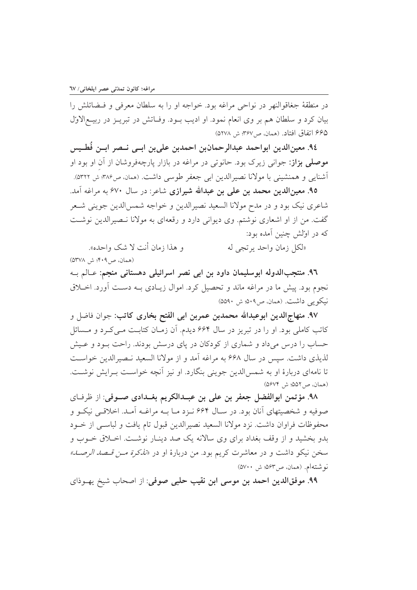در منطقهٔ جغاقوالنهر در نواحی مراغه بود. خواجه او را به سلطان معرفی و فـضائلش را بيان كرد و سلطان هم بر وي انعام نمود. او اديب بــود. وفــاتش در تبريــز در ربيــع|لاوّل ۶۶۵ اتفاق افتاد. (همان، ص۳۶۷: ش ۵۲۷۸)

٩٤. معينالدين ابواحمد عبدالرحمانبن احمدبن علىبن ابــي نــصر ابــن فُطـيس موصلی بزاز: جوانی زیرک بود. حانوتی در مراغه در بازار پارچهفروشان از آن او بود او آشنایی و همنشینی با مولانا نصیرالدین ابی جعفر طوسی داشت. (همان ص۳۸۶ ش ۵۳۲۲).

۹۵. معینالدین محمد بن علی بن عبدالله شیرازی شاعر: در سال ۶۷۰ به مراغه آمد. شاعري نيک بود و در مدح مولانا السعيد نصيرالدين و خواجه شمس الدين جويني شـعر گفت. من از او اشعاری نوشتم. وی دیوانی دارد و رقعهای به مولانا نـصیرالدین نوشـت که در اولش چنین آمده بود:

و هذا زمان أنت لا شک واحده». «لكل زمان واحد يرتجى له (همان، ص4۰۹؛ ش ۵۳۷۸)

۹٦. منتجبالدوله ابوسليمان داود بن ابي نصر اسرائيلي دهستاني منجم: عـالم بــه نجوم بود. پیش ما در مراغه ماند و تحصیل کرد. اموال زیـادی بــه دســت آورد. اخــلاق نيكويي داشت. (همان، ص٥٠٩: ش ٥٥٩٠)

۹۷. منهاج|لدین ابوعبدالله محمدبن عمربن ابی الفتح بخاری کاتب: جوان فاضل و کاتب کاملی بود. او را در تبریز در سال ۶۶۴ دیدم. آن زمـان کتابـت مـی کـرد و مــسائل حساب را درس می داد و شماری از کودکان در پای درسش بودند. راحت بـود و عـیش لذيذي داشت. سيس در سال ۶۶۸ به مراغه آمد و از مولانا السعيد نـصيرالدين خواسـت تا نامهای دربارهٔ او به شمس الدین جوینی بنگارد. او نیز آنچه خواست پیرایش نوشت. (همان، ص20۲، ش ۵۶۷۴)

٩٨. مؤتمن ابوالفضل جعفر بن على بن عبدالكريم بغـدادي صـوفي: از ظرفـاي صوفیه و شخصیتهای آنان بود. در سـال ۶۶۴ نـزد مـا بــه مراغــه آمــد. اخلاقــی نیکــو و محفوظات فراوان داشت. نزد مولانا السعيد نصيرالدين قبول تام يافت و لباسـي از خـود بدو بخشید و از وقف بغداد برای وی سالانه یک صد دینـار نوشـت. اخـلاق خــوب و سخن نيكو داشت و در معاشرت كريم بود. من دربارهٔ او در *«تذكرة مــز قــصد الرصــد»* نوشتهام. (همان، ص٥۶٣؛ ش ٥٧٠٠)

۹۹. موفقالدین احمد بن موسی ابن نقیب حلبی صوفی: از اصحاب شیخ پهـوذای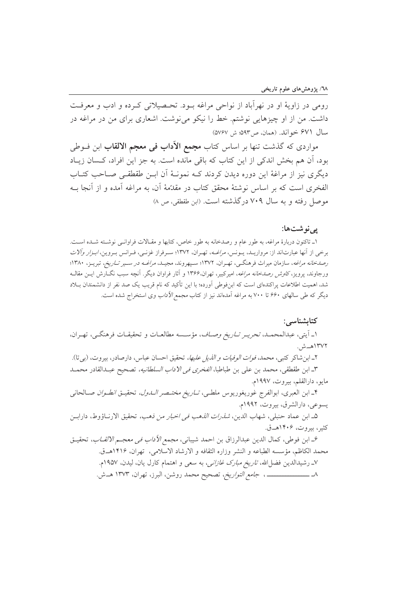رومي در زاويهٔ او در نهرأباد از نواحي مراغه بـود. تحـصيلاتي كـرده و ادب و معرفـت داشت. من از او چیزهایی نوشتم. خط را نیکو می نوشت. اشعاری برای من در مراغه در سال ۶۷۱ خواند. (همان، ص۹۳: ش ۵۷۶۷)

مواردی که گذشت تنها بر اساس کتاب **مجمع الأداب فی معجم الالقاب** ابن فــوطی بود، أن هم بخش اندكي از اين كتاب كه باقي مانده است. به جز اين افراد، كـسان زيـاد دیگری نیز از مراغهٔ این دوره دیدن کردند کـه نمونـهٔ آن ابـن طقطقـی صـاحب کتـاب الفخری است که بر اساس نوشتهٔ محقق کتاب در مقدّمهٔ آن، به مراغه آمده و از آنجا بــه موصل رفته و به سال ۷۰۹ درگذشته است. (ابن طقطقی، ص ۸)

## یے نو شتھا:

۱ـ تاکنون دربارهٔ مراغه، به طور عام و رصدخانه به طور خاص، کتابها و مقـالات فراوانـی نوشـته شـده اسـت. برخی از آنها عبارتاند از: مرواریـد، یـونس، *مراغــه*، تهـران، ۱۳۷۲؛ سـرفراز غزنـی، فـرانس بـروین، *ابـزار وآلات* رص*دخانه مراغه*، سازمان میراث فرهنگـی، تهـران، ۱۳۷۲؛ سـپهروند، مجیـد، *مراغــه در ســیر تــاریخ،* تبریــز، ۱۳۸۰؛ ورجاوند، پرویز، *کاوش رصدخانه مراغه*، امیرکبیر، تهران،۱۳۶۶ و آثار فراوان دیگر. آنچه سبب نگـارش ایــن مقالــه شد، اهمیت اطلاعات پراکندهای است که ابنفوطی اَورده؛ با این تأکید که نام قریب یک صد نفر از دانشمندان بــلاد دیگر که طی سالهای ۶۶۰ تا ۷۰۰ به مراغه آمدهاند نیز از کتاب *مجمع الآداب وی* استخراج شده است.

کتابشناسے : ۱ـ آيتي، عبدالمحمـد، *تحريـر تـاريخ وصـاف*، مؤسـسه مطالعـات و تحقيقـات فرهنگـي، تهـران، ١٣٧٢هــش. ٢ـ ابن شاكر كتبي، محمد، *فوات الوفيات و الذيل عليها،* تحقيق احسان عباس، دارصادر، بيروت، (ب<u>ي</u> تا). ٣ـ ابن طقطقي، محمد بن علي بن طباطبا، *الفخرى في الاداب السلطانيه،* تصحيح عبـدالقادر محمـد مايو، دارالقلم، بيروت، ١٩٩٧م. ۴ـ ابن العبرى، ابوالفرج غوريغوريوس ملطـي، *تــاريخ مختــصر الـــاول،* تحقيــق *انطــوان صـ*ـالحانـي يسوعي، دارالشرق، بيروت، ١٩٩٢م. هـ ابن عماد حنبلي، شهاب الدين، *شذرات الذهب في اخبار من ذهب،* تحقيق الارنــاؤوط، دارابــن کثیر، بیروت، ۱۴۰۶هـق. ع\_ ابن فوطي، كمال الدين عبدالرزاق بن احمد شيباني، *مجمع الأداب في معجـم الالقــاب*، تحقيــق محمد الكاظم، مؤسسه الطباعه و النشر وزاره الثقافه و الارشاد الاسلامي، تهران، ۱۴۱۶هــق. ۷ـ رشیدالدین فضل الله، *تاریخ مبارک غازانی،* به سعی و اهتمام کارل یان، لیدن، ۱۹۵۷م.

٨ـ ـــــــــــــــــــــــــ ، جا*مع التواريخ*، تصحيح محمد روشن، البرز، تهران، ١٣٧٣ هــش.